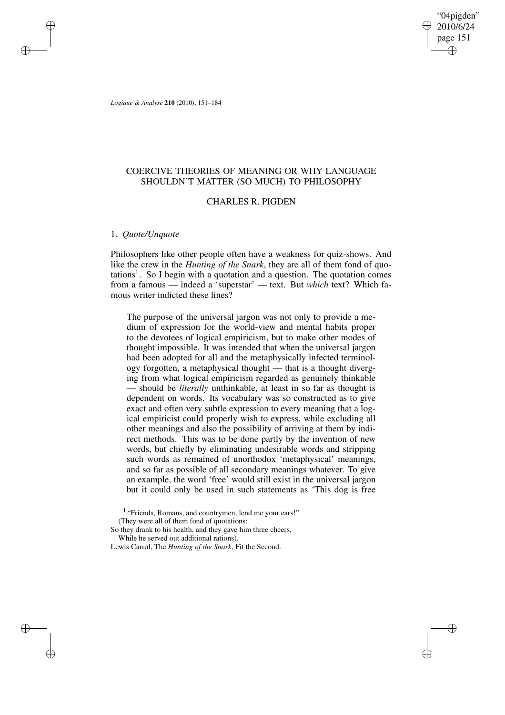"04pigden" 2010/6/24 page 151 ✐ ✐

✐

✐

*Logique & Analyse* **210** (2010), 151–184

✐

✐

✐

✐

# COERCIVE THEORIES OF MEANING OR WHY LANGUAGE SHOULDN'T MATTER (SO MUCH) TO PHILOSOPHY

# CHARLES R. PIGDEN

# 1. *Quote/Unquote*

Philosophers like other people often have a weakness for quiz-shows. And like the crew in the *Hunting of the Snark*, they are all of them fond of quotations<sup>1</sup>. So I begin with a quotation and a question. The quotation comes from a famous — indeed a 'superstar' — text. But *which* text? Which famous writer indicted these lines?

The purpose of the universal jargon was not only to provide a medium of expression for the world-view and mental habits proper to the devotees of logical empiricism, but to make other modes of thought impossible. It was intended that when the universal jargon had been adopted for all and the metaphysically infected terminology forgotten, a metaphysical thought — that is a thought diverging from what logical empiricism regarded as genuinely thinkable — should be *literally* unthinkable, at least in so far as thought is dependent on words. Its vocabulary was so constructed as to give exact and often very subtle expression to every meaning that a logical empiricist could properly wish to express, while excluding all other meanings and also the possibility of arriving at them by indirect methods. This was to be done partly by the invention of new words, but chiefly by eliminating undesirable words and stripping such words as remained of unorthodox 'metaphysical' meanings, and so far as possible of all secondary meanings whatever. To give an example, the word 'free' would still exist in the universal jargon but it could only be used in such statements as 'This dog is free

So they drank to his health, and they gave him three cheers,

While he served out additional rations).

Lewis Carrol, The *Hunting of the Snark*, Fit the Second.

<sup>&</sup>lt;sup>1</sup> "Friends, Romans, and countrymen, lend me your ears!" (They were all of them fond of quotations: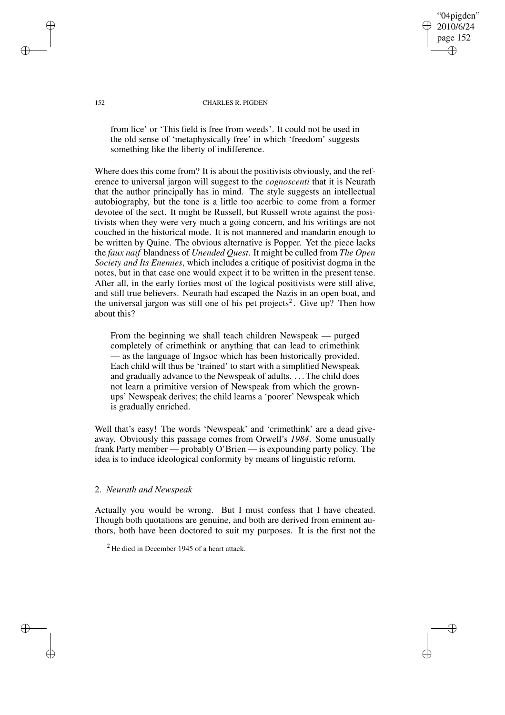"04pigden" 2010/6/24 page 152 ✐ ✐

✐

✐

### 152 CHARLES R. PIGDEN

from lice' or 'This field is free from weeds'. It could not be used in the old sense of 'metaphysically free' in which 'freedom' suggests something like the liberty of indifference.

Where does this come from? It is about the positivists obviously, and the reference to universal jargon will suggest to the *cognoscenti* that it is Neurath that the author principally has in mind. The style suggests an intellectual autobiography, but the tone is a little too acerbic to come from a former devotee of the sect. It might be Russell, but Russell wrote against the positivists when they were very much a going concern, and his writings are not couched in the historical mode. It is not mannered and mandarin enough to be written by Quine. The obvious alternative is Popper. Yet the piece lacks the *faux naif* blandness of *Unended Quest*. It might be culled from *The Open Society and Its Enemies*, which includes a critique of positivist dogma in the notes, but in that case one would expect it to be written in the present tense. After all, in the early forties most of the logical positivists were still alive, and still true believers. Neurath had escaped the Nazis in an open boat, and the universal jargon was still one of his pet projects<sup>2</sup>. Give up? Then how about this?

From the beginning we shall teach children Newspeak — purged completely of crimethink or anything that can lead to crimethink — as the language of Ingsoc which has been historically provided. Each child will thus be 'trained' to start with a simplified Newspeak and gradually advance to the Newspeak of adults. . . .The child does not learn a primitive version of Newspeak from which the grownups' Newspeak derives; the child learns a 'poorer' Newspeak which is gradually enriched.

Well that's easy! The words 'Newspeak' and 'crimethink' are a dead giveaway. Obviously this passage comes from Orwell's *1984*. Some unusually frank Party member — probably O'Brien — is expounding party policy. The idea is to induce ideological conformity by means of linguistic reform.

## 2. *Neurath and Newspeak*

Actually you would be wrong. But I must confess that I have cheated. Though both quotations are genuine, and both are derived from eminent authors, both have been doctored to suit my purposes. It is the first not the

✐

✐

✐

 $2$  He died in December 1945 of a heart attack.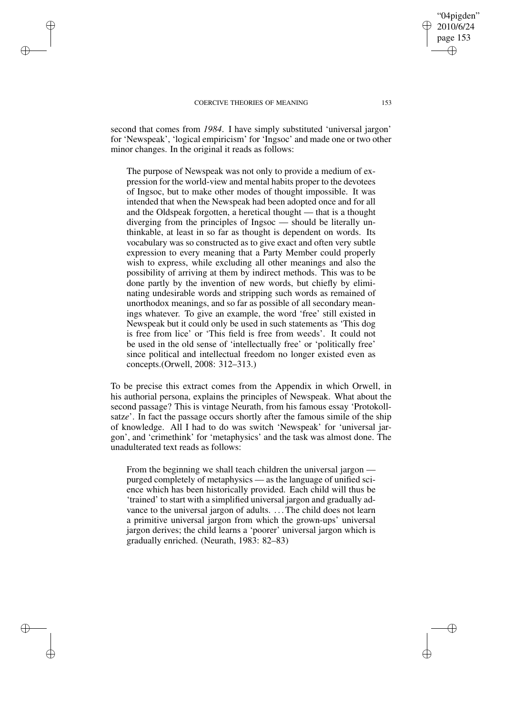✐

✐

✐

✐

second that comes from *1984*. I have simply substituted 'universal jargon' for 'Newspeak', 'logical empiricism' for 'Ingsoc' and made one or two other minor changes. In the original it reads as follows:

The purpose of Newspeak was not only to provide a medium of expression for the world-view and mental habits proper to the devotees of Ingsoc, but to make other modes of thought impossible. It was intended that when the Newspeak had been adopted once and for all and the Oldspeak forgotten, a heretical thought — that is a thought diverging from the principles of Ingsoc — should be literally unthinkable, at least in so far as thought is dependent on words. Its vocabulary was so constructed as to give exact and often very subtle expression to every meaning that a Party Member could properly wish to express, while excluding all other meanings and also the possibility of arriving at them by indirect methods. This was to be done partly by the invention of new words, but chiefly by eliminating undesirable words and stripping such words as remained of unorthodox meanings, and so far as possible of all secondary meanings whatever. To give an example, the word 'free' still existed in Newspeak but it could only be used in such statements as 'This dog is free from lice' or 'This field is free from weeds'. It could not be used in the old sense of 'intellectually free' or 'politically free' since political and intellectual freedom no longer existed even as concepts.(Orwell, 2008: 312–313.)

To be precise this extract comes from the Appendix in which Orwell, in his authorial persona, explains the principles of Newspeak. What about the second passage? This is vintage Neurath, from his famous essay 'Protokollsatz*e*'. In fact the passage occurs shortly after the famous simile of the ship of knowledge. All I had to do was switch 'Newspeak' for 'universal jargon', and 'crimethink' for 'metaphysics' and the task was almost done. The unadulterated text reads as follows:

From the beginning we shall teach children the universal jargon purged completely of metaphysics — as the language of unified science which has been historically provided. Each child will thus be 'trained' to start with a simplified universal jargon and gradually advance to the universal jargon of adults. . . .The child does not learn a primitive universal jargon from which the grown-ups' universal jargon derives; the child learns a 'poorer' universal jargon which is gradually enriched. (Neurath, 1983: 82–83)

"04pigden" 2010/6/24 page 153

✐

✐

✐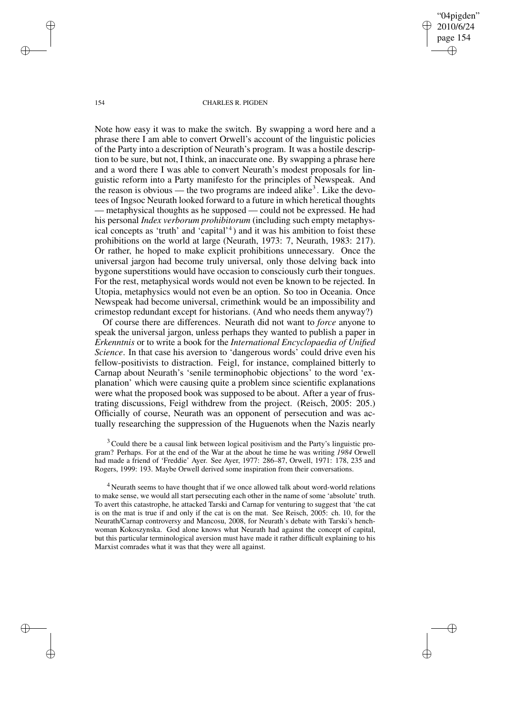"04pigden" 2010/6/24 page 154 ✐ ✐

✐

✐

#### 154 CHARLES R. PIGDEN

Note how easy it was to make the switch. By swapping a word here and a phrase there I am able to convert Orwell's account of the linguistic policies of the Party into a description of Neurath's program. It was a hostile description to be sure, but not, I think, an inaccurate one. By swapping a phrase here and a word there I was able to convert Neurath's modest proposals for linguistic reform into a Party manifesto for the principles of Newspeak. And the reason is obvious — the two programs are indeed alike<sup>3</sup>. Like the devotees of Ingsoc Neurath looked forward to a future in which heretical thoughts — metaphysical thoughts as he supposed — could not be expressed. He had his personal *Index verborum prohibitorum* (including such empty metaphysical concepts as 'truth' and 'capital'<sup>4</sup> ) and it was his ambition to foist these prohibitions on the world at large (Neurath, 1973: 7, Neurath, 1983: 217). Or rather, he hoped to make explicit prohibitions unnecessary. Once the universal jargon had become truly universal, only those delving back into bygone superstitions would have occasion to consciously curb their tongues. For the rest, metaphysical words would not even be known to be rejected. In Utopia, metaphysics would not even be an option. So too in Oceania. Once Newspeak had become universal, crimethink would be an impossibility and crimestop redundant except for historians. (And who needs them anyway?)

Of course there are differences. Neurath did not want to *force* anyone to speak the universal jargon, unless perhaps they wanted to publish a paper in *Erkenntnis* or to write a book for the *International Encyclopaedia of Unified Science*. In that case his aversion to 'dangerous words' could drive even his fellow-positivists to distraction. Feigl, for instance, complained bitterly to Carnap about Neurath's 'senile terminophobic objections' to the word 'explanation' which were causing quite a problem since scientific explanations were what the proposed book was supposed to be about. After a year of frustrating discussions, Feigl withdrew from the project. (Reisch, 2005: 205.) Officially of course, Neurath was an opponent of persecution and was actually researching the suppression of the Huguenots when the Nazis nearly

 $3$  Could there be a causal link between logical positivism and the Party's linguistic program? Perhaps. For at the end of the War at the about he time he was writing *1984* Orwell had made a friend of 'Freddie' Ayer. See Ayer, 1977: 286–87, Orwell, 1971: 178, 235 and Rogers, 1999: 193. Maybe Orwell derived some inspiration from their conversations.

<sup>4</sup> Neurath seems to have thought that if we once allowed talk about word-world relations to make sense, we would all start persecuting each other in the name of some 'absolute' truth. To avert this catastrophe, he attacked Tarski and Carnap for venturing to suggest that 'the cat is on the mat is true if and only if the cat is on the mat. See Reisch, 2005: ch. 10, for the Neurath/Carnap controversy and Mancosu, 2008, for Neurath's debate with Tarski's henchwoman Kokoszynska. God alone knows what Neurath had against the concept of capital, but this particular terminological aversion must have made it rather difficult explaining to his Marxist comrades what it was that they were all against.

✐

✐

✐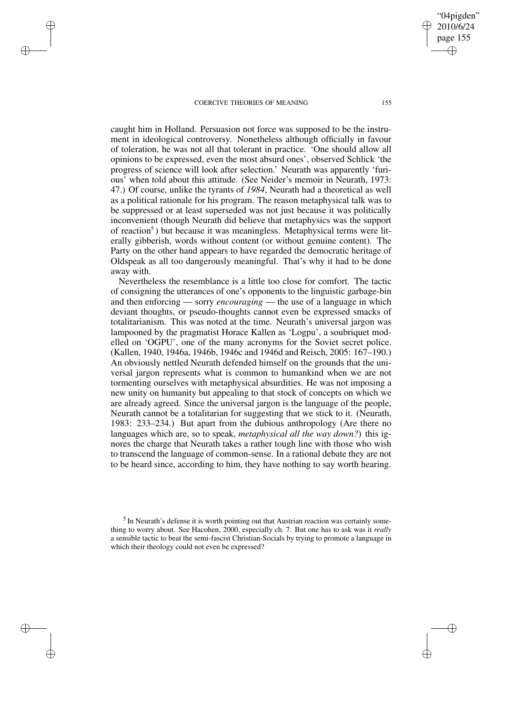✐

✐

✐

✐

caught him in Holland. Persuasion not force was supposed to be the instrument in ideological controversy. Nonetheless although officially in favour of toleration, he was not all that tolerant in practice. 'One should allow all opinions to be expressed, even the most absurd ones', observed Schlick 'the progress of science will look after selection.' Neurath was apparently 'furious' when told about this attitude. (See Neider's memoir in Neurath, 1973: 47.) Of course, unlike the tyrants of *1984*, Neurath had a theoretical as well as a political rationale for his program. The reason metaphysical talk was to be suppressed or at least superseded was not just because it was politically inconvenient (though Neurath did believe that metaphysics was the support of reaction<sup>5</sup>) but because it was meaningless. Metaphysical terms were literally gibberish, words without content (or without genuine content). The Party on the other hand appears to have regarded the democratic heritage of Oldspeak as all too dangerously meaningful. That's why it had to be done away with.

Nevertheless the resemblance is a little too close for comfort. The tactic of consigning the utterances of one's opponents to the linguistic garbage-bin and then enforcing — sorry *encouraging* — the use of a language in which deviant thoughts, or pseudo-thoughts cannot even be expressed smacks of totalitarianism. This was noted at the time. Neurath's universal jargon was lampooned by the pragmatist Horace Kallen as 'Logpu', a soubriquet modelled on 'OGPU', one of the many acronyms for the Soviet secret police. (Kallen, 1940, 1946a, 1946b, 1946c and 1946d and Reisch, 2005: 167–190.) An obviously nettled Neurath defended himself on the grounds that the universal jargon represents what is common to humankind when we are not tormenting ourselves with metaphysical absurdities. He was not imposing a new unity on humanity but appealing to that stock of concepts on which we are already agreed. Since the universal jargon is the language of the people, Neurath cannot be a totalitarian for suggesting that we stick to it. (Neurath, 1983: 233–234.) But apart from the dubious anthropology (Are there no languages which are, so to speak, *metaphysical all the way down?*) this ignores the charge that Neurath takes a rather tough line with those who wish to transcend the language of common-sense. In a rational debate they are not to be heard since, according to him, they have nothing to say worth hearing.

"04pigden" 2010/6/24 page 155

✐

✐

✐

<sup>&</sup>lt;sup>5</sup> In Neurath's defense it is worth pointing out that Austrian reaction was certainly something to worry about. See Hacohen, 2000, especially ch. 7. But one has to ask was it *really* a sensible tactic to beat the semi-fascist Christian-Socials by trying to promote a language in which their theology could not even be expressed?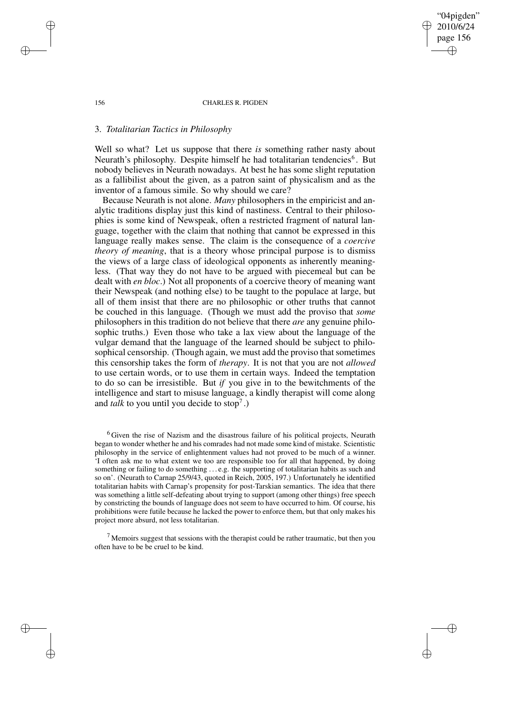156 CHARLES R. PIGDEN

"04pigden" 2010/6/24 page 156

✐

✐

✐

✐

# 3. *Totalitarian Tactics in Philosophy*

Well so what? Let us suppose that there *is* something rather nasty about Neurath's philosophy. Despite himself he had totalitarian tendencies<sup>6</sup>. But nobody believes in Neurath nowadays. At best he has some slight reputation as a fallibilist about the given, as a patron saint of physicalism and as the inventor of a famous simile. So why should we care?

Because Neurath is not alone. *Many* philosophers in the empiricist and analytic traditions display just this kind of nastiness. Central to their philosophies is some kind of Newspeak, often a restricted fragment of natural language, together with the claim that nothing that cannot be expressed in this language really makes sense. The claim is the consequence of a *coercive theory of meaning*, that is a theory whose principal purpose is to dismiss the views of a large class of ideological opponents as inherently meaningless. (That way they do not have to be argued with piecemeal but can be dealt with *en bloc*.) Not all proponents of a coercive theory of meaning want their Newspeak (and nothing else) to be taught to the populace at large, but all of them insist that there are no philosophic or other truths that cannot be couched in this language. (Though we must add the proviso that *some* philosophers in this tradition do not believe that there *are* any genuine philosophic truths.) Even those who take a lax view about the language of the vulgar demand that the language of the learned should be subject to philosophical censorship. (Though again, we must add the proviso that sometimes this censorship takes the form of *therapy*. It is not that you are not *allowed* to use certain words, or to use them in certain ways. Indeed the temptation to do so can be irresistible. But *if* you give in to the bewitchments of the intelligence and start to misuse language, a kindly therapist will come along and *talk* to you until you decide to stop<sup>7</sup>.)

<sup>6</sup> Given the rise of Nazism and the disastrous failure of his political projects, Neurath began to wonder whether he and his comrades had not made some kind of mistake. Scientistic philosophy in the service of enlightenment values had not proved to be much of a winner. 'I often ask me to what extent we too are responsible too for all that happened, by doing something or failing to do something . . . e.g. the supporting of totalitarian habits as such and so on'. (Neurath to Carnap 25/9/43, quoted in Reich, 2005, 197.) Unfortunately he identified totalitarian habits with Carnap's propensity for post-Tarskian semantics. The idea that there was something a little self-defeating about trying to support (among other things) free speech by constricting the bounds of language does not seem to have occurred to him. Of course, his prohibitions were futile because he lacked the power to enforce them, but that only makes his project more absurd, not less totalitarian.

 $<sup>7</sup>$  Memoirs suggest that sessions with the therapist could be rather traumatic, but then you</sup> often have to be be cruel to be kind.

✐

✐

✐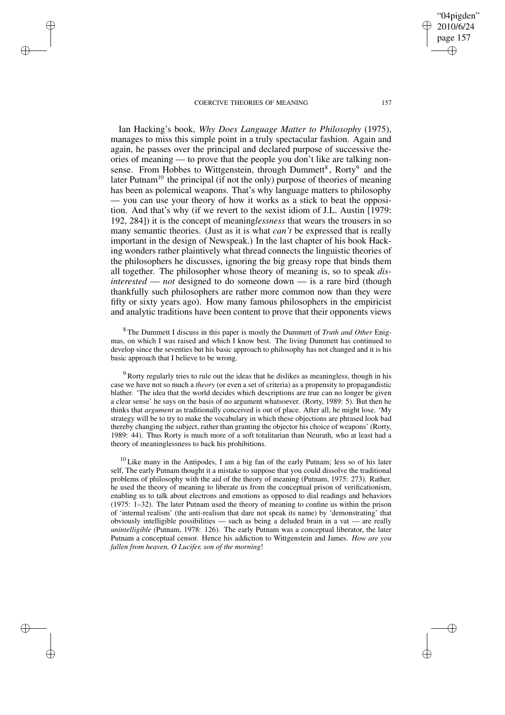✐

✐

✐

✐

Ian Hacking's book, *Why Does Language Matter to Philosophy* (1975), manages to miss this simple point in a truly spectacular fashion. Again and again, he passes over the principal and declared purpose of successive theories of meaning — to prove that the people you don't like are talking nonsense. From Hobbes to Wittgenstein, through Dummett<sup>8</sup>, Rorty<sup>9</sup> and the later Putnam<sup>10</sup> the principal (if not the only) purpose of theories of meaning has been as polemical weapons. That's why language matters to philosophy — you can use your theory of how it works as a stick to beat the opposition. And that's why (if we revert to the sexist idiom of J.L. Austin [1979: 192, 284]) it is the concept of meaning*lessness* that wears the trousers in so many semantic theories. (Just as it is what *can't* be expressed that is really important in the design of Newspeak.) In the last chapter of his book Hacking wonders rather plaintively what thread connects the linguistic theories of the philosophers he discusses, ignoring the big greasy rope that binds them all together. The philosopher whose theory of meaning is, so to speak *disinterested* — *not* designed to do someone down — is a rare bird (though thankfully such philosophers are rather more common now than they were fifty or sixty years ago). How many famous philosophers in the empiricist and analytic traditions have been content to prove that their opponents views

<sup>8</sup> The Dummett I discuss in this paper is mostly the Dummett of *Truth and Other* Enigmas, on which I was raised and which I know best. The living Dummett has continued to develop since the seventies but his basic approach to philosophy has not changed and it is his basic approach that I believe to be wrong.

<sup>9</sup> Rorty regularly tries to rule out the ideas that he dislikes as meaningless, though in his case we have not so much a *theory* (or even a set of criteria) as a propensity to propagandistic blather. 'The idea that the world decides which descriptions are true can no longer be given a clear sense' he says on the basis of no argument whatsoever. (Rorty, 1989: 5). But then he thinks that *argument* as traditionally conceived is out of place. After all, he might lose. 'My strategy will be to try to make the vocabulary in which these objections are phrased look bad thereby changing the subject, rather than granting the objector his choice of weapons' (Rorty, 1989: 44). Thus Rorty is much more of a soft totalitarian than Neurath, who at least had a theory of meaninglessness to back his prohibitions.

 $10$  Like many in the Antipodes, I am a big fan of the early Putnam; less so of his later self, The early Putnam thought it a mistake to suppose that you could dissolve the traditional problems of philosophy with the aid of the theory of meaning (Putnam, 1975: 273). Rather, he used the theory of meaning to liberate us from the conceptual prison of verificationism, enabling us to talk about electrons and emotions as opposed to dial readings and behaviors (1975: 1–32). The later Putnam used the theory of meaning to confine us within the prison of 'internal realism' (the anti-realism that dare not speak its name) by 'demonstrating' that obviously intelligible possibilities — such as being a deluded brain in a vat — are really *unintelligible* (Putnam, 1978: 126). The early Putnam was a conceptual liberator, the later Putnam a conceptual censor. Hence his addiction to Wittgenstein and James. *How are you fallen from heaven, O Lucifer, son of the morning*!

"04pigden" 2010/6/24 page 157

✐

✐

✐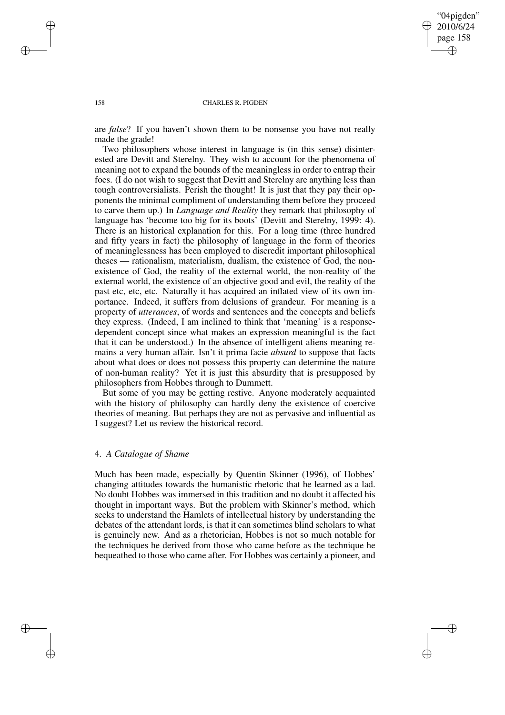✐

✐

#### 158 CHARLES R. PIGDEN

are *false*? If you haven't shown them to be nonsense you have not really made the grade!

Two philosophers whose interest in language is (in this sense) disinterested are Devitt and Sterelny. They wish to account for the phenomena of meaning not to expand the bounds of the meaningless in order to entrap their foes. (I do not wish to suggest that Devitt and Sterelny are anything less than tough controversialists. Perish the thought! It is just that they pay their opponents the minimal compliment of understanding them before they proceed to carve them up.) In *Language and Reality* they remark that philosophy of language has 'become too big for its boots' (Devitt and Sterelny, 1999: 4). There is an historical explanation for this. For a long time (three hundred and fifty years in fact) the philosophy of language in the form of theories of meaninglessness has been employed to discredit important philosophical theses — rationalism, materialism, dualism, the existence of God, the nonexistence of God, the reality of the external world, the non-reality of the external world, the existence of an objective good and evil, the reality of the past etc, etc, etc. Naturally it has acquired an inflated view of its own importance. Indeed, it suffers from delusions of grandeur. For meaning is a property of *utterances*, of words and sentences and the concepts and beliefs they express. (Indeed, I am inclined to think that 'meaning' is a responsedependent concept since what makes an expression meaningful is the fact that it can be understood.) In the absence of intelligent aliens meaning remains a very human affair. Isn't it prima facie *absurd* to suppose that facts about what does or does not possess this property can determine the nature of non-human reality? Yet it is just this absurdity that is presupposed by philosophers from Hobbes through to Dummett.

But some of you may be getting restive. Anyone moderately acquainted with the history of philosophy can hardly deny the existence of coercive theories of meaning. But perhaps they are not as pervasive and influential as I suggest? Let us review the historical record.

## 4. *A Catalogue of Shame*

Much has been made, especially by Quentin Skinner (1996), of Hobbes' changing attitudes towards the humanistic rhetoric that he learned as a lad. No doubt Hobbes was immersed in this tradition and no doubt it affected his thought in important ways. But the problem with Skinner's method, which seeks to understand the Hamlets of intellectual history by understanding the debates of the attendant lords, is that it can sometimes blind scholars to what is genuinely new. And as a rhetorician, Hobbes is not so much notable for the techniques he derived from those who came before as the technique he bequeathed to those who came after. For Hobbes was certainly a pioneer, and

✐

✐

✐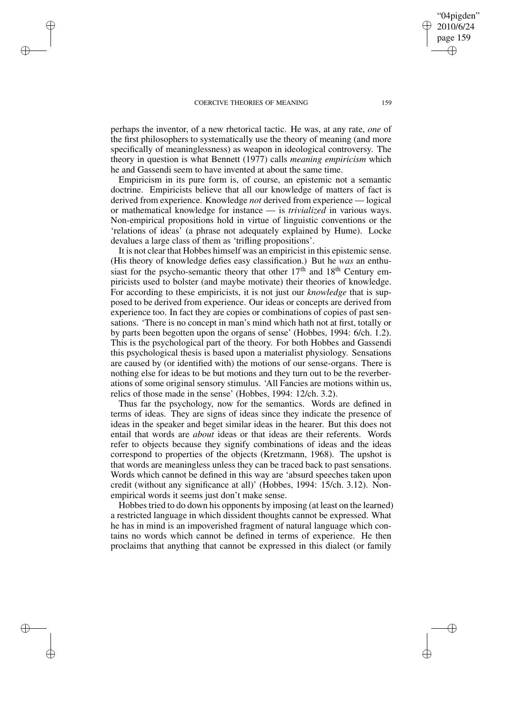✐

✐

✐

✐

perhaps the inventor, of a new rhetorical tactic. He was, at any rate, *one* of the first philosophers to systematically use the theory of meaning (and more specifically of meaninglessness) as weapon in ideological controversy. The theory in question is what Bennett (1977) calls *meaning empiricism* which he and Gassendi seem to have invented at about the same time.

Empiricism in its pure form is, of course, an epistemic not a semantic doctrine. Empiricists believe that all our knowledge of matters of fact is derived from experience. Knowledge *not* derived from experience — logical or mathematical knowledge for instance — is *trivialized* in various ways. Non-empirical propositions hold in virtue of linguistic conventions or the 'relations of ideas' (a phrase not adequately explained by Hume). Locke devalues a large class of them as 'trifling propositions'.

It is not clear that Hobbes himself was an empiricist in this epistemic sense. (His theory of knowledge defies easy classification.) But he *was* an enthusiast for the psycho-semantic theory that other  $17<sup>th</sup>$  and  $18<sup>th</sup>$  Century empiricists used to bolster (and maybe motivate) their theories of knowledge. For according to these empiricists, it is not just our *knowledge* that is supposed to be derived from experience. Our ideas or concepts are derived from experience too. In fact they are copies or combinations of copies of past sensations. 'There is no concept in man's mind which hath not at first, totally or by parts been begotten upon the organs of sense' (Hobbes, 1994: 6/ch. 1.2). This is the psychological part of the theory. For both Hobbes and Gassendi this psychological thesis is based upon a materialist physiology. Sensations are caused by (or identified with) the motions of our sense-organs. There is nothing else for ideas to be but motions and they turn out to be the reverberations of some original sensory stimulus. 'All Fancies are motions within us, relics of those made in the sense' (Hobbes, 1994: 12/ch. 3.2).

Thus far the psychology, now for the semantics. Words are defined in terms of ideas. They are signs of ideas since they indicate the presence of ideas in the speaker and beget similar ideas in the hearer. But this does not entail that words are *about* ideas or that ideas are their referents. Words refer to objects because they signify combinations of ideas and the ideas correspond to properties of the objects (Kretzmann, 1968). The upshot is that words are meaningless unless they can be traced back to past sensations. Words which cannot be defined in this way are 'absurd speeches taken upon credit (without any significance at all)' (Hobbes, 1994: 15/ch. 3.12). Nonempirical words it seems just don't make sense.

Hobbes tried to do down his opponents by imposing (at least on the learned) a restricted language in which dissident thoughts cannot be expressed. What he has in mind is an impoverished fragment of natural language which contains no words which cannot be defined in terms of experience. He then proclaims that anything that cannot be expressed in this dialect (or family

"04pigden" 2010/6/24 page 159

✐

✐

✐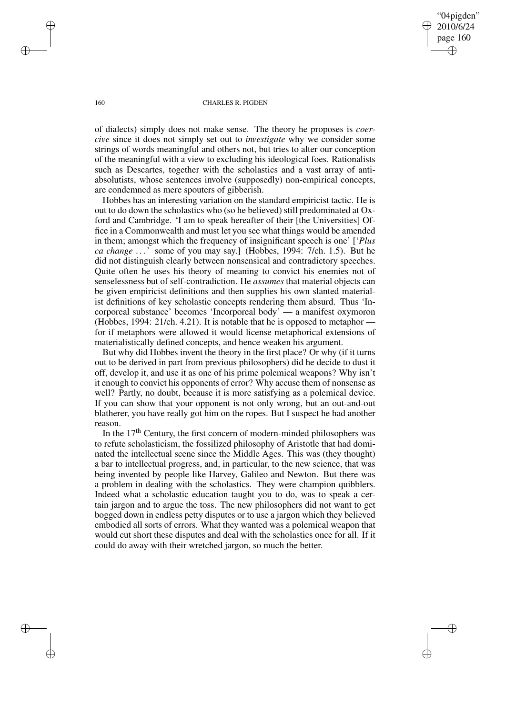"04pigden" 2010/6/24 page 160 ✐ ✐

✐

✐

#### 160 CHARLES R. PIGDEN

of dialects) simply does not make sense. The theory he proposes is *coercive* since it does not simply set out to *investigate* why we consider some strings of words meaningful and others not, but tries to alter our conception of the meaningful with a view to excluding his ideological foes. Rationalists such as Descartes, together with the scholastics and a vast array of antiabsolutists, whose sentences involve (supposedly) non-empirical concepts, are condemned as mere spouters of gibberish.

Hobbes has an interesting variation on the standard empiricist tactic. He is out to do down the scholastics who (so he believed) still predominated at Oxford and Cambridge. 'I am to speak hereafter of their [the Universities] Office in a Commonwealth and must let you see what things would be amended in them; amongst which the frequency of insignificant speech is one' ['*Plus ca change* . . .' some of you may say.] (Hobbes, 1994: 7/ch. 1.5). But he did not distinguish clearly between nonsensical and contradictory speeches. Quite often he uses his theory of meaning to convict his enemies not of senselessness but of self-contradiction. He *assumes* that material objects can be given empiricist definitions and then supplies his own slanted materialist definitions of key scholastic concepts rendering them absurd. Thus 'Incorporeal substance' becomes 'Incorporeal body' — a manifest oxymoron (Hobbes, 1994: 21/ch. 4.21). It is notable that he is opposed to metaphor for if metaphors were allowed it would license metaphorical extensions of materialistically defined concepts, and hence weaken his argument.

But why did Hobbes invent the theory in the first place? Or why (if it turns out to be derived in part from previous philosophers) did he decide to dust it off, develop it, and use it as one of his prime polemical weapons? Why isn't it enough to convict his opponents of error? Why accuse them of nonsense as well? Partly, no doubt, because it is more satisfying as a polemical device. If you can show that your opponent is not only wrong, but an out-and-out blatherer, you have really got him on the ropes. But I suspect he had another reason.

In the  $17<sup>th</sup>$  Century, the first concern of modern-minded philosophers was to refute scholasticism, the fossilized philosophy of Aristotle that had dominated the intellectual scene since the Middle Ages. This was (they thought) a bar to intellectual progress, and, in particular, to the new science, that was being invented by people like Harvey, Galileo and Newton. But there was a problem in dealing with the scholastics. They were champion quibblers. Indeed what a scholastic education taught you to do, was to speak a certain jargon and to argue the toss. The new philosophers did not want to get bogged down in endless petty disputes or to use a jargon which they believed embodied all sorts of errors. What they wanted was a polemical weapon that would cut short these disputes and deal with the scholastics once for all. If it could do away with their wretched jargon, so much the better.

✐

✐

✐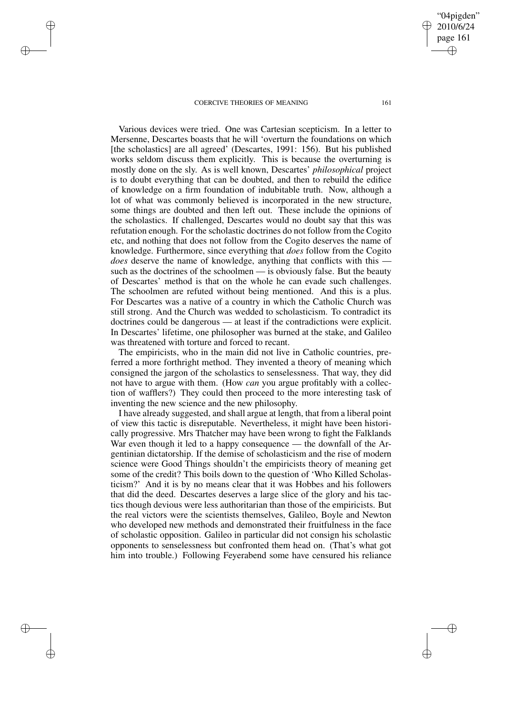✐

✐

✐

✐

Various devices were tried. One was Cartesian scepticism. In a letter to Mersenne, Descartes boasts that he will 'overturn the foundations on which [the scholastics] are all agreed' (Descartes, 1991: 156). But his published works seldom discuss them explicitly. This is because the overturning is mostly done on the sly. As is well known, Descartes' *philosophical* project is to doubt everything that can be doubted, and then to rebuild the edifice of knowledge on a firm foundation of indubitable truth. Now, although a lot of what was commonly believed is incorporated in the new structure, some things are doubted and then left out. These include the opinions of the scholastics. If challenged, Descartes would no doubt say that this was refutation enough. For the scholastic doctrines do not follow from the Cogito etc, and nothing that does not follow from the Cogito deserves the name of knowledge. Furthermore, since everything that *does* follow from the Cogito *does* deserve the name of knowledge, anything that conflicts with this such as the doctrines of the schoolmen — is obviously false. But the beauty of Descartes' method is that on the whole he can evade such challenges. The schoolmen are refuted without being mentioned. And this is a plus. For Descartes was a native of a country in which the Catholic Church was still strong. And the Church was wedded to scholasticism. To contradict its doctrines could be dangerous — at least if the contradictions were explicit. In Descartes' lifetime, one philosopher was burned at the stake, and Galileo was threatened with torture and forced to recant.

The empiricists, who in the main did not live in Catholic countries, preferred a more forthright method. They invented a theory of meaning which consigned the jargon of the scholastics to senselessness. That way, they did not have to argue with them. (How *can* you argue profitably with a collection of wafflers?) They could then proceed to the more interesting task of inventing the new science and the new philosophy.

I have already suggested, and shall argue at length, that from a liberal point of view this tactic is disreputable. Nevertheless, it might have been historically progressive. Mrs Thatcher may have been wrong to fight the Falklands War even though it led to a happy consequence — the downfall of the Argentinian dictatorship. If the demise of scholasticism and the rise of modern science were Good Things shouldn't the empiricists theory of meaning get some of the credit? This boils down to the question of 'Who Killed Scholasticism?' And it is by no means clear that it was Hobbes and his followers that did the deed. Descartes deserves a large slice of the glory and his tactics though devious were less authoritarian than those of the empiricists. But the real victors were the scientists themselves, Galileo, Boyle and Newton who developed new methods and demonstrated their fruitfulness in the face of scholastic opposition. Galileo in particular did not consign his scholastic opponents to senselessness but confronted them head on. (That's what got him into trouble.) Following Feyerabend some have censured his reliance

"04pigden" 2010/6/24 page 161

✐

✐

✐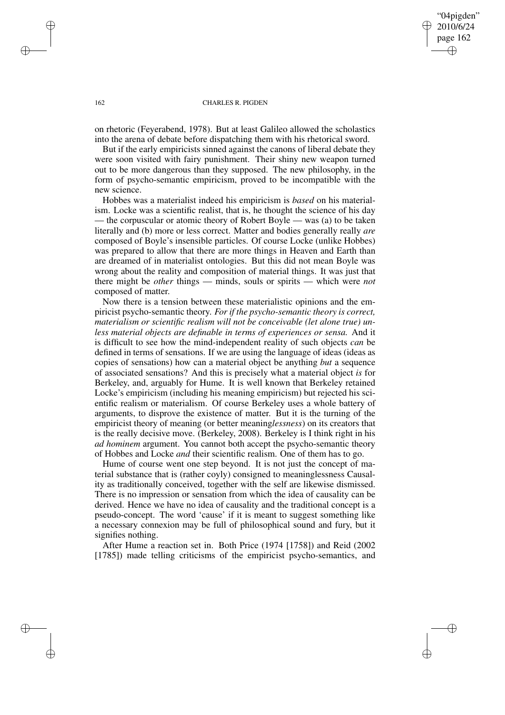"04pigden" 2010/6/24 page 162 ✐ ✐

✐

✐

#### 162 CHARLES R. PIGDEN

on rhetoric (Feyerabend, 1978). But at least Galileo allowed the scholastics into the arena of debate before dispatching them with his rhetorical sword.

But if the early empiricists sinned against the canons of liberal debate they were soon visited with fairy punishment. Their shiny new weapon turned out to be more dangerous than they supposed. The new philosophy, in the form of psycho-semantic empiricism, proved to be incompatible with the new science.

Hobbes was a materialist indeed his empiricism is *based* on his materialism. Locke was a scientific realist, that is, he thought the science of his day — the corpuscular or atomic theory of Robert Boyle — was (a) to be taken literally and (b) more or less correct. Matter and bodies generally really *are* composed of Boyle's insensible particles. Of course Locke (unlike Hobbes) was prepared to allow that there are more things in Heaven and Earth than are dreamed of in materialist ontologies. But this did not mean Boyle was wrong about the reality and composition of material things. It was just that there might be *other* things — minds, souls or spirits — which were *not* composed of matter.

Now there is a tension between these materialistic opinions and the empiricist psycho-semantic theory. *For if the psycho-semantic theory is correct, materialism or scientific realism will not be conceivable (let alone true) unless material objects are definable in terms of experiences or sensa.* And it is difficult to see how the mind-independent reality of such objects *can* be defined in terms of sensations. If we are using the language of ideas (ideas as copies of sensations) how can a material object be anything *but* a sequence of associated sensations? And this is precisely what a material object *is* for Berkeley, and, arguably for Hume. It is well known that Berkeley retained Locke's empiricism (including his meaning empiricism) but rejected his scientific realism or materialism. Of course Berkeley uses a whole battery of arguments, to disprove the existence of matter. But it is the turning of the empiricist theory of meaning (or better meaning*lessness*) on its creators that is the really decisive move. (Berkeley, 2008). Berkeley is I think right in his *ad hominem* argument. You cannot both accept the psycho-semantic theory of Hobbes and Locke *and* their scientific realism. One of them has to go.

Hume of course went one step beyond. It is not just the concept of material substance that is (rather coyly) consigned to meaninglessness Causality as traditionally conceived, together with the self are likewise dismissed. There is no impression or sensation from which the idea of causality can be derived. Hence we have no idea of causality and the traditional concept is a pseudo-concept. The word 'cause' if it is meant to suggest something like a necessary connexion may be full of philosophical sound and fury, but it signifies nothing.

After Hume a reaction set in. Both Price (1974 [1758]) and Reid (2002 [1785]) made telling criticisms of the empiricist psycho-semantics, and

✐

✐

✐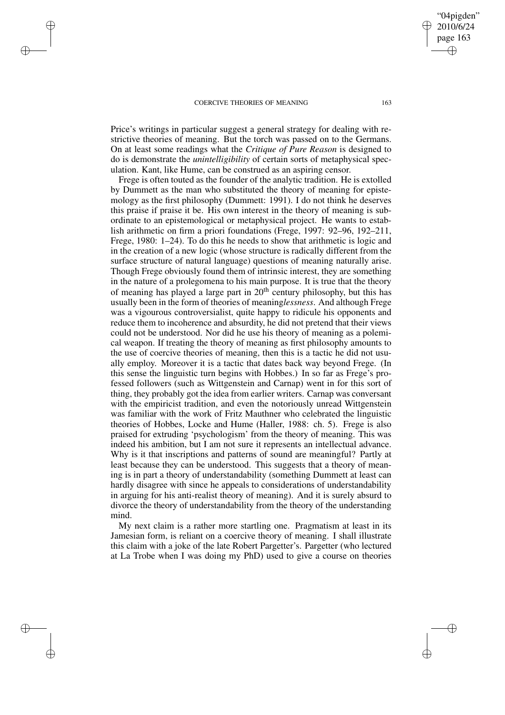✐

✐

✐

✐

Price's writings in particular suggest a general strategy for dealing with restrictive theories of meaning. But the torch was passed on to the Germans. On at least some readings what the *Critique of Pure Reason* is designed to do is demonstrate the *unintelligibility* of certain sorts of metaphysical speculation. Kant, like Hume, can be construed as an aspiring censor.

Frege is often touted as the founder of the analytic tradition. He is extolled by Dummett as the man who substituted the theory of meaning for epistemology as the first philosophy (Dummett: 1991). I do not think he deserves this praise if praise it be. His own interest in the theory of meaning is subordinate to an epistemological or metaphysical project. He wants to establish arithmetic on firm a priori foundations (Frege, 1997: 92–96, 192–211, Frege, 1980: 1–24). To do this he needs to show that arithmetic is logic and in the creation of a new logic (whose structure is radically different from the surface structure of natural language) questions of meaning naturally arise. Though Frege obviously found them of intrinsic interest, they are something in the nature of a prolegomena to his main purpose. It is true that the theory of meaning has played a large part in  $20<sup>th</sup>$  century philosophy, but this has usually been in the form of theories of meaning*lessness*. And although Frege was a vigourous controversialist, quite happy to ridicule his opponents and reduce them to incoherence and absurdity, he did not pretend that their views could not be understood. Nor did he use his theory of meaning as a polemical weapon. If treating the theory of meaning as first philosophy amounts to the use of coercive theories of meaning, then this is a tactic he did not usually employ. Moreover it is a tactic that dates back way beyond Frege. (In this sense the linguistic turn begins with Hobbes.) In so far as Frege's professed followers (such as Wittgenstein and Carnap) went in for this sort of thing, they probably got the idea from earlier writers. Carnap was conversant with the empiricist tradition, and even the notoriously unread Wittgenstein was familiar with the work of Fritz Mauthner who celebrated the linguistic theories of Hobbes, Locke and Hume (Haller, 1988: ch. 5). Frege is also praised for extruding 'psychologism' from the theory of meaning. This was indeed his ambition, but I am not sure it represents an intellectual advance. Why is it that inscriptions and patterns of sound are meaningful? Partly at least because they can be understood. This suggests that a theory of meaning is in part a theory of understandability (something Dummett at least can hardly disagree with since he appeals to considerations of understandability in arguing for his anti-realist theory of meaning). And it is surely absurd to divorce the theory of understandability from the theory of the understanding mind.

My next claim is a rather more startling one. Pragmatism at least in its Jamesian form, is reliant on a coercive theory of meaning. I shall illustrate this claim with a joke of the late Robert Pargetter's. Pargetter (who lectured at La Trobe when I was doing my PhD) used to give a course on theories

"04pigden" 2010/6/24 page 163

✐

✐

✐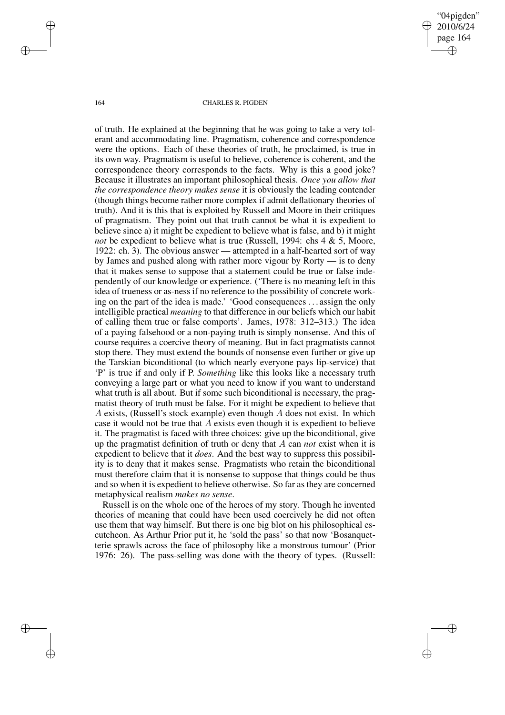"04pigden" 2010/6/24 page 164 ✐ ✐

✐

✐

#### 164 CHARLES R. PIGDEN

of truth. He explained at the beginning that he was going to take a very tolerant and accommodating line. Pragmatism, coherence and correspondence were the options. Each of these theories of truth, he proclaimed, is true in its own way. Pragmatism is useful to believe, coherence is coherent, and the correspondence theory corresponds to the facts. Why is this a good joke? Because it illustrates an important philosophical thesis. *Once you allow that the correspondence theory makes sense* it is obviously the leading contender (though things become rather more complex if admit deflationary theories of truth). And it is this that is exploited by Russell and Moore in their critiques of pragmatism. They point out that truth cannot be what it is expedient to believe since a) it might be expedient to believe what is false, and b) it might *not* be expedient to believe what is true (Russell, 1994: chs 4 & 5, Moore, 1922: ch. 3). The obvious answer — attempted in a half-hearted sort of way by James and pushed along with rather more vigour by Rorty — is to deny that it makes sense to suppose that a statement could be true or false independently of our knowledge or experience. ('There is no meaning left in this idea of trueness or as-ness if no reference to the possibility of concrete working on the part of the idea is made.' 'Good consequences . . . assign the only intelligible practical *meaning* to that difference in our beliefs which our habit of calling them true or false comports'. James, 1978: 312–313.) The idea of a paying falsehood or a non-paying truth is simply nonsense. And this of course requires a coercive theory of meaning. But in fact pragmatists cannot stop there. They must extend the bounds of nonsense even further or give up the Tarskian biconditional (to which nearly everyone pays lip-service) that 'P' is true if and only if P. *Something* like this looks like a necessary truth conveying a large part or what you need to know if you want to understand what truth is all about. But if some such biconditional is necessary, the pragmatist theory of truth must be false. For it might be expedient to believe that A exists, (Russell's stock example) even though  $A$  does not exist. In which case it would not be true that  $\vec{A}$  exists even though it is expedient to believe it. The pragmatist is faced with three choices: give up the biconditional, give up the pragmatist definition of truth or deny that A can *not* exist when it is expedient to believe that it *does*. And the best way to suppress this possibility is to deny that it makes sense. Pragmatists who retain the biconditional must therefore claim that it is nonsense to suppose that things could be thus and so when it is expedient to believe otherwise. So far as they are concerned metaphysical realism *makes no sense*.

Russell is on the whole one of the heroes of my story. Though he invented theories of meaning that could have been used coercively he did not often use them that way himself. But there is one big blot on his philosophical escutcheon. As Arthur Prior put it, he 'sold the pass' so that now 'Bosanquetterie sprawls across the face of philosophy like a monstrous tumour' (Prior 1976: 26). The pass-selling was done with the theory of types. (Russell:

✐

✐

✐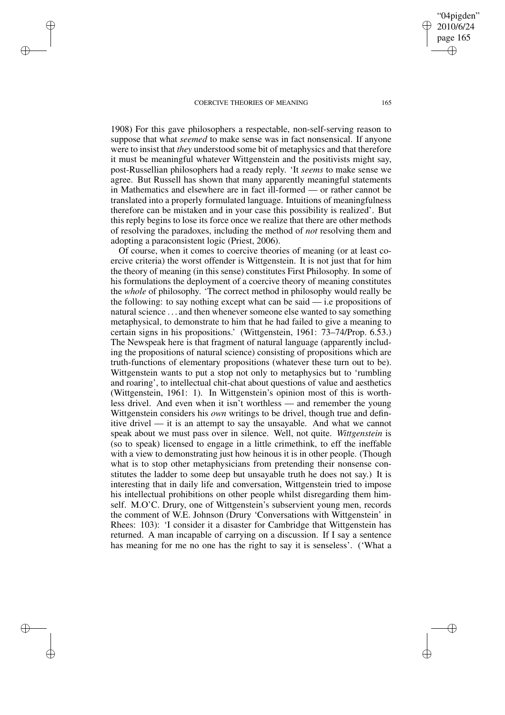✐

✐

✐

✐

1908) For this gave philosophers a respectable, non-self-serving reason to suppose that what *seemed* to make sense was in fact nonsensical. If anyone were to insist that *they* understood some bit of metaphysics and that therefore it must be meaningful whatever Wittgenstein and the positivists might say, post-Russellian philosophers had a ready reply. 'It *seems* to make sense we agree. But Russell has shown that many apparently meaningful statements in Mathematics and elsewhere are in fact ill-formed — or rather cannot be translated into a properly formulated language. Intuitions of meaningfulness therefore can be mistaken and in your case this possibility is realized'. But this reply begins to lose its force once we realize that there are other methods of resolving the paradoxes, including the method of *not* resolving them and adopting a paraconsistent logic (Priest, 2006).

Of course, when it comes to coercive theories of meaning (or at least coercive criteria) the worst offender is Wittgenstein. It is not just that for him the theory of meaning (in this sense) constitutes First Philosophy. In some of his formulations the deployment of a coercive theory of meaning constitutes the *whole* of philosophy. 'The correct method in philosophy would really be the following: to say nothing except what can be said  $-$  i.e propositions of natural science . . . and then whenever someone else wanted to say something metaphysical, to demonstrate to him that he had failed to give a meaning to certain signs in his propositions.' (Wittgenstein, 1961: 73–74/Prop. 6.53.) The Newspeak here is that fragment of natural language (apparently including the propositions of natural science) consisting of propositions which are truth-functions of elementary propositions (whatever these turn out to be). Wittgenstein wants to put a stop not only to metaphysics but to 'rumbling and roaring', to intellectual chit-chat about questions of value and aesthetics (Wittgenstein, 1961: 1). In Wittgenstein's opinion most of this is worthless drivel. And even when it isn't worthless — and remember the young Wittgenstein considers his *own* writings to be drivel, though true and definitive drivel — it is an attempt to say the unsayable. And what we cannot speak about we must pass over in silence. Well, not quite. *Wittgenstein* is (so to speak) licensed to engage in a little crimethink, to eff the ineffable with a view to demonstrating just how heinous it is in other people. (Though what is to stop other metaphysicians from pretending their nonsense constitutes the ladder to some deep but unsayable truth he does not say.) It is interesting that in daily life and conversation, Wittgenstein tried to impose his intellectual prohibitions on other people whilst disregarding them himself. M.O'C. Drury, one of Wittgenstein's subservient young men, records the comment of W.E. Johnson (Drury 'Conversations with Wittgenstein' in Rhees: 103): 'I consider it a disaster for Cambridge that Wittgenstein has returned. A man incapable of carrying on a discussion. If I say a sentence has meaning for me no one has the right to say it is senseless'. ('What a

"04pigden" 2010/6/24 page 165

✐

✐

✐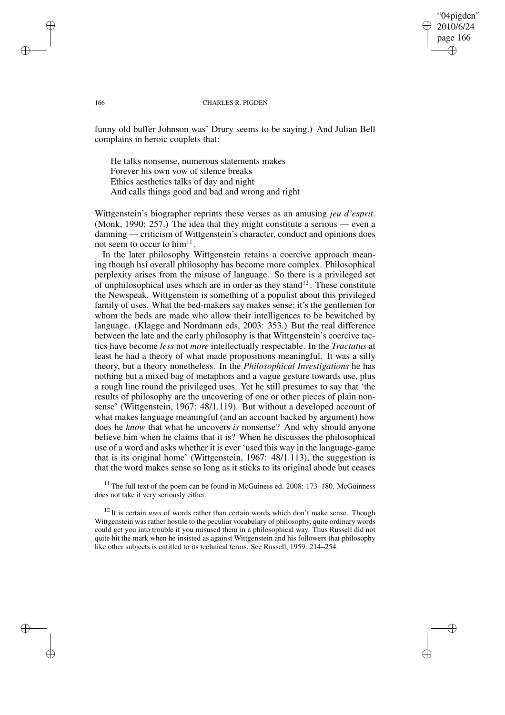# "04pigden" 2010/6/24 page 166 ✐ ✐

✐

✐

#### 166 CHARLES R. PIGDEN

funny old buffer Johnson was' Drury seems to be saying.) And Julian Bell complains in heroic couplets that:

He talks nonsense, numerous statements makes Forever his own vow of silence breaks Ethics aesthetics talks of day and night And calls things good and bad and wrong and right

Wittgenstein's biographer reprints these verses as an amusing *jeu d'esprit*. (Monk, 1990: 257.) The idea that they might constitute a serious — even a damning — criticism of Wittgenstein's character, conduct and opinions does not seem to occur to  $\text{him}^{11}$ .

In the later philosophy Wittgenstein retains a coercive approach meaning though hsi overall philosophy has become more complex. Philosophical perplexity arises from the misuse of language. So there is a privileged set of unphilosophical uses which are in order as they stand $^{12}$ . These constitute the Newspeak. Wittgenstein is something of a populist about this privileged family of uses. What the bed-makers say makes sense; it's the gentlemen for whom the beds are made who allow their intelligences to be bewitched by language. (Klagge and Nordmann eds, 2003: 353.) But the real difference between the late and the early philosophy is that Wittgenstein's coercive tactics have become *less* not *more* intellectually respectable. In the *Tractatus* at least he had a theory of what made propositions meaningful. It was a silly theory, but a theory nonetheless. In the *Philosophical Investigations* he has nothing but a mixed bag of metaphors and a vague gesture towards use, plus a rough line round the privileged uses. Yet he still presumes to say that 'the results of philosophy are the uncovering of one or other pieces of plain nonsense' (Wittgenstein, 1967: 48/1.119). But without a developed account of what makes language meaningful (and an account backed by argument) how does he *know* that what he uncovers *is* nonsense? And why should anyone believe him when he claims that it is? When he discusses the philosophical use of a word and asks whether it is ever 'used this way in the language-game that is its original home' (Wittgenstein, 1967: 48/1.113), the suggestion is that the word makes sense so long as it sticks to its original abode but ceases

 $11$  The full text of the poem can be found in McGuiness ed. 2008: 173–180. McGuinness does not take it very seriously either.

<sup>12</sup> It is certain *uses* of words rather than certain words which don't make sense. Though Wittgenstein was rather hostile to the peculiar vocabulary of philosophy, quite ordinary words could get you into trouble if you misused them in a philosophical way. Thus Russell did not quite hit the mark when he insisted as against Wittgenstein and his followers that philosophy like other subjects is entitled to its technical terms. See Russell, 1959: 214–254.

✐

✐

✐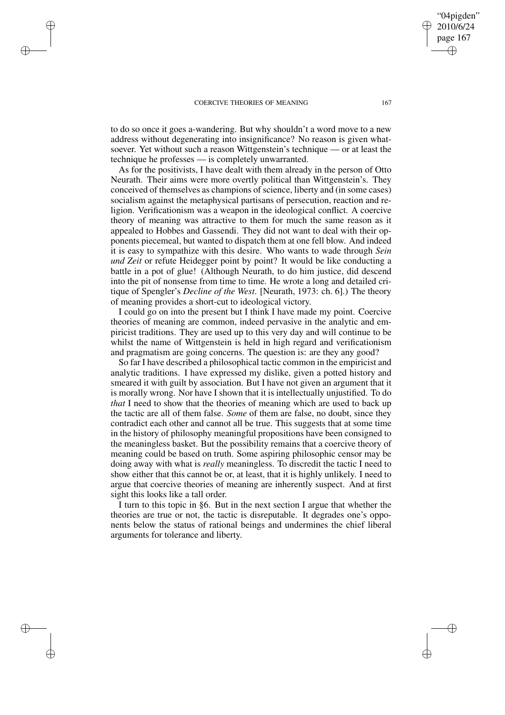✐

✐

✐

✐

to do so once it goes a-wandering. But why shouldn't a word move to a new address without degenerating into insignificance? No reason is given whatsoever. Yet without such a reason Wittgenstein's technique — or at least the technique he professes — is completely unwarranted.

As for the positivists, I have dealt with them already in the person of Otto Neurath. Their aims were more overtly political than Wittgenstein's. They conceived of themselves as champions of science, liberty and (in some cases) socialism against the metaphysical partisans of persecution, reaction and religion. Verificationism was a weapon in the ideological conflict. A coercive theory of meaning was attractive to them for much the same reason as it appealed to Hobbes and Gassendi. They did not want to deal with their opponents piecemeal, but wanted to dispatch them at one fell blow. And indeed it is easy to sympathize with this desire. Who wants to wade through *Sein und Zeit* or refute Heidegger point by point? It would be like conducting a battle in a pot of glue! (Although Neurath, to do him justice, did descend into the pit of nonsense from time to time. He wrote a long and detailed critique of Spengler's *Decline of the West*. [Neurath, 1973: ch. 6].) The theory of meaning provides a short-cut to ideological victory.

I could go on into the present but I think I have made my point. Coercive theories of meaning are common, indeed pervasive in the analytic and empiricist traditions. They are used up to this very day and will continue to be whilst the name of Wittgenstein is held in high regard and verificationism and pragmatism are going concerns. The question is: are they any good?

So far I have described a philosophical tactic common in the empiricist and analytic traditions. I have expressed my dislike, given a potted history and smeared it with guilt by association. But I have not given an argument that it is morally wrong. Nor have I shown that it is intellectually unjustified. To do *that* I need to show that the theories of meaning which are used to back up the tactic are all of them false. *Some* of them are false, no doubt, since they contradict each other and cannot all be true. This suggests that at some time in the history of philosophy meaningful propositions have been consigned to the meaningless basket. But the possibility remains that a coercive theory of meaning could be based on truth. Some aspiring philosophic censor may be doing away with what is *really* meaningless. To discredit the tactic I need to show either that this cannot be or, at least, that it is highly unlikely. I need to argue that coercive theories of meaning are inherently suspect. And at first sight this looks like a tall order.

I turn to this topic in §6. But in the next section I argue that whether the theories are true or not, the tactic is disreputable. It degrades one's opponents below the status of rational beings and undermines the chief liberal arguments for tolerance and liberty.

"04pigden" 2010/6/24 page 167

✐

✐

✐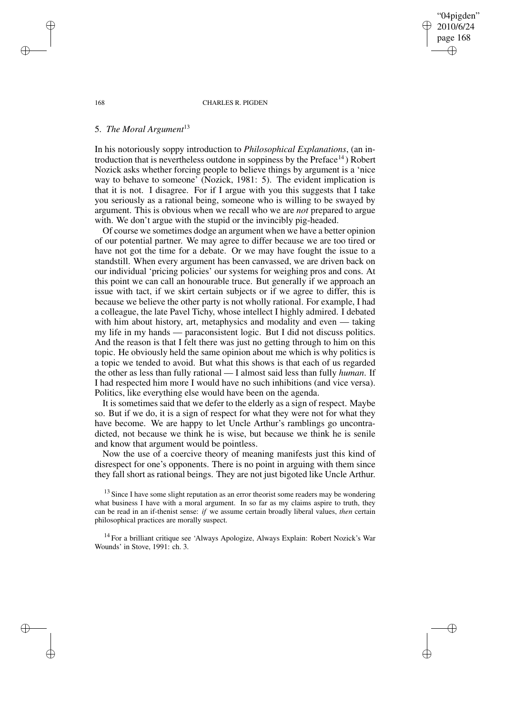"04pigden" 2010/6/24 page 168 ✐ ✐

✐

✐

#### 168 CHARLES R. PIGDEN

## 5. *The Moral Argument*<sup>13</sup>

In his notoriously soppy introduction to *Philosophical Explanations*, (an introduction that is nevertheless outdone in soppiness by the  $Preface<sup>14</sup>$  Robert Nozick asks whether forcing people to believe things by argument is a 'nice way to behave to someone' (Nozick, 1981: 5). The evident implication is that it is not. I disagree. For if I argue with you this suggests that I take you seriously as a rational being, someone who is willing to be swayed by argument. This is obvious when we recall who we are *not* prepared to argue with. We don't argue with the stupid or the invincibly pig-headed.

Of course we sometimes dodge an argument when we have a better opinion of our potential partner. We may agree to differ because we are too tired or have not got the time for a debate. Or we may have fought the issue to a standstill. When every argument has been canvassed, we are driven back on our individual 'pricing policies' our systems for weighing pros and cons. At this point we can call an honourable truce. But generally if we approach an issue with tact, if we skirt certain subjects or if we agree to differ, this is because we believe the other party is not wholly rational. For example, I had a colleague, the late Pavel Tichy, whose intellect I highly admired. I debated with him about history, art, metaphysics and modality and even — taking my life in my hands — paraconsistent logic. But I did not discuss politics. And the reason is that I felt there was just no getting through to him on this topic. He obviously held the same opinion about me which is why politics is a topic we tended to avoid. But what this shows is that each of us regarded the other as less than fully rational — I almost said less than fully *human*. If I had respected him more I would have no such inhibitions (and vice versa). Politics, like everything else would have been on the agenda.

It is sometimes said that we defer to the elderly as a sign of respect. Maybe so. But if we do, it is a sign of respect for what they were not for what they have become. We are happy to let Uncle Arthur's ramblings go uncontradicted, not because we think he is wise, but because we think he is senile and know that argument would be pointless.

Now the use of a coercive theory of meaning manifests just this kind of disrespect for one's opponents. There is no point in arguing with them since they fall short as rational beings. They are not just bigoted like Uncle Arthur.

<sup>13</sup> Since I have some slight reputation as an error theorist some readers may be wondering what business I have with a moral argument. In so far as my claims aspire to truth, they can be read in an if-thenist sense: *if* we assume certain broadly liberal values, *then* certain philosophical practices are morally suspect.

<sup>14</sup> For a brilliant critique see 'Always Apologize, Always Explain: Robert Nozick's War Wounds' in Stove, 1991: ch. 3.

✐

✐

✐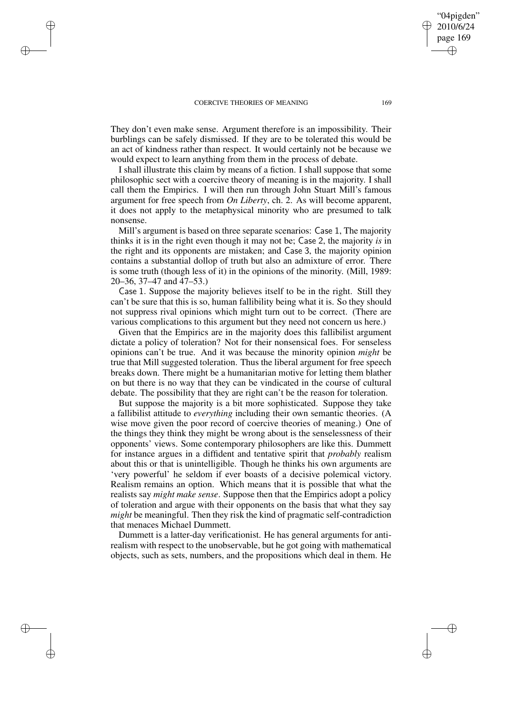✐

✐

✐

✐

They don't even make sense. Argument therefore is an impossibility. Their burblings can be safely dismissed. If they are to be tolerated this would be an act of kindness rather than respect. It would certainly not be because we would expect to learn anything from them in the process of debate.

I shall illustrate this claim by means of a fiction. I shall suppose that some philosophic sect with a coercive theory of meaning is in the majority. I shall call them the Empirics. I will then run through John Stuart Mill's famous argument for free speech from *On Liberty*, ch. 2. As will become apparent, it does not apply to the metaphysical minority who are presumed to talk nonsense.

Mill's argument is based on three separate scenarios: Case 1, The majority thinks it is in the right even though it may not be; Case 2, the majority *is* in the right and its opponents are mistaken; and Case 3, the majority opinion contains a substantial dollop of truth but also an admixture of error. There is some truth (though less of it) in the opinions of the minority. (Mill, 1989: 20–36, 37–47 and 47–53.)

Case 1. Suppose the majority believes itself to be in the right. Still they can't be sure that this is so, human fallibility being what it is. So they should not suppress rival opinions which might turn out to be correct. (There are various complications to this argument but they need not concern us here.)

Given that the Empirics are in the majority does this fallibilist argument dictate a policy of toleration? Not for their nonsensical foes. For senseless opinions can't be true. And it was because the minority opinion *might* be true that Mill suggested toleration. Thus the liberal argument for free speech breaks down. There might be a humanitarian motive for letting them blather on but there is no way that they can be vindicated in the course of cultural debate. The possibility that they are right can't be the reason for toleration.

But suppose the majority is a bit more sophisticated. Suppose they take a fallibilist attitude to *everything* including their own semantic theories. (A wise move given the poor record of coercive theories of meaning.) One of the things they think they might be wrong about is the senselessness of their opponents' views. Some contemporary philosophers are like this. Dummett for instance argues in a diffident and tentative spirit that *probably* realism about this or that is unintelligible. Though he thinks his own arguments are 'very powerful' he seldom if ever boasts of a decisive polemical victory. Realism remains an option. Which means that it is possible that what the realists say *might make sense*. Suppose then that the Empirics adopt a policy of toleration and argue with their opponents on the basis that what they say *might* be meaningful. Then they risk the kind of pragmatic self-contradiction that menaces Michael Dummett.

Dummett is a latter-day verificationist. He has general arguments for antirealism with respect to the unobservable, but he got going with mathematical objects, such as sets, numbers, and the propositions which deal in them. He

"04pigden" 2010/6/24 page 169

✐

✐

✐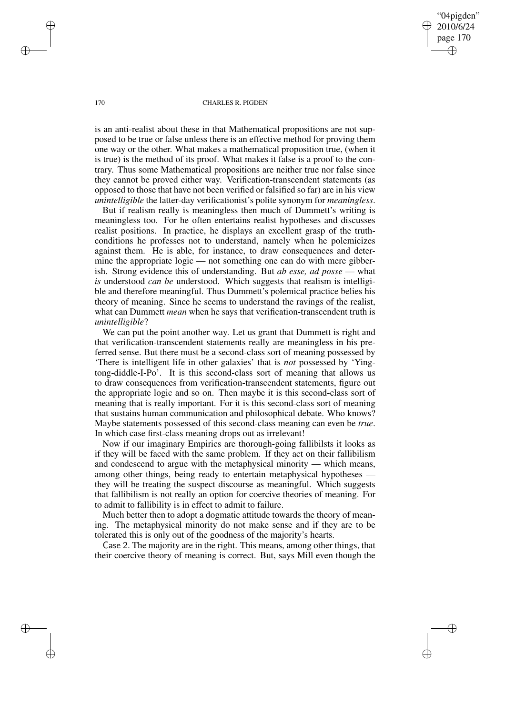"04pigden" 2010/6/24 page 170 ✐ ✐

✐

✐

#### 170 CHARLES R. PIGDEN

is an anti-realist about these in that Mathematical propositions are not supposed to be true or false unless there is an effective method for proving them one way or the other. What makes a mathematical proposition true, (when it is true) is the method of its proof. What makes it false is a proof to the contrary. Thus some Mathematical propositions are neither true nor false since they cannot be proved either way. Verification-transcendent statements (as opposed to those that have not been verified or falsified so far) are in his view *unintelligible* the latter-day verificationist's polite synonym for *meaningless*.

But if realism really is meaningless then much of Dummett's writing is meaningless too. For he often entertains realist hypotheses and discusses realist positions. In practice, he displays an excellent grasp of the truthconditions he professes not to understand, namely when he polemicizes against them. He is able, for instance, to draw consequences and determine the appropriate logic — not something one can do with mere gibberish. Strong evidence this of understanding. But *ab esse, ad posse* — what *is* understood *can be* understood. Which suggests that realism is intelligible and therefore meaningful. Thus Dummett's polemical practice belies his theory of meaning. Since he seems to understand the ravings of the realist, what can Dummett *mean* when he says that verification-transcendent truth is *unintelligible*?

We can put the point another way. Let us grant that Dummett is right and that verification-transcendent statements really are meaningless in his preferred sense. But there must be a second-class sort of meaning possessed by 'There is intelligent life in other galaxies' that is *not* possessed by 'Yingtong-diddle-I-Po'. It is this second-class sort of meaning that allows us to draw consequences from verification-transcendent statements, figure out the appropriate logic and so on. Then maybe it is this second-class sort of meaning that is really important. For it is this second-class sort of meaning that sustains human communication and philosophical debate. Who knows? Maybe statements possessed of this second-class meaning can even be *true*. In which case first-class meaning drops out as irrelevant!

Now if our imaginary Empirics are thorough-going fallibilsts it looks as if they will be faced with the same problem. If they act on their fallibilism and condescend to argue with the metaphysical minority — which means, among other things, being ready to entertain metaphysical hypotheses they will be treating the suspect discourse as meaningful. Which suggests that fallibilism is not really an option for coercive theories of meaning. For to admit to fallibility is in effect to admit to failure.

Much better then to adopt a dogmatic attitude towards the theory of meaning. The metaphysical minority do not make sense and if they are to be tolerated this is only out of the goodness of the majority's hearts.

Case 2. The majority are in the right. This means, among other things, that their coercive theory of meaning is correct. But, says Mill even though the

✐

✐

✐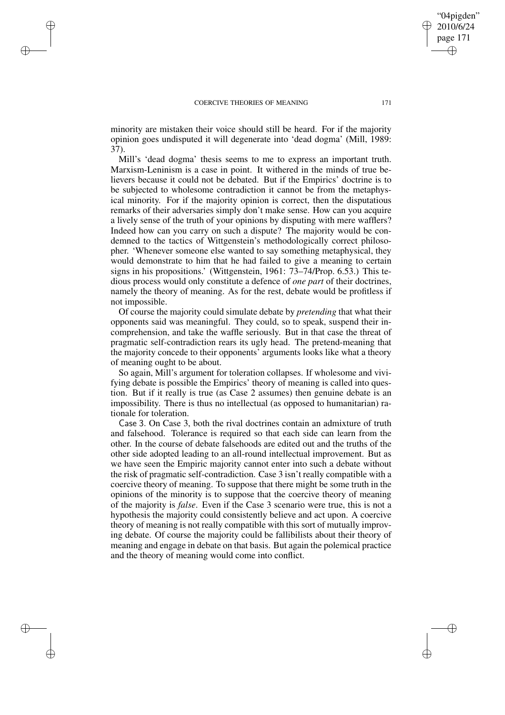✐

✐

✐

✐

minority are mistaken their voice should still be heard. For if the majority opinion goes undisputed it will degenerate into 'dead dogma' (Mill, 1989: 37).

Mill's 'dead dogma' thesis seems to me to express an important truth. Marxism-Leninism is a case in point. It withered in the minds of true believers because it could not be debated. But if the Empirics' doctrine is to be subjected to wholesome contradiction it cannot be from the metaphysical minority. For if the majority opinion is correct, then the disputatious remarks of their adversaries simply don't make sense. How can you acquire a lively sense of the truth of your opinions by disputing with mere wafflers? Indeed how can you carry on such a dispute? The majority would be condemned to the tactics of Wittgenstein's methodologically correct philosopher. 'Whenever someone else wanted to say something metaphysical, they would demonstrate to him that he had failed to give a meaning to certain signs in his propositions.' (Wittgenstein, 1961: 73–74/Prop. 6.53.) This tedious process would only constitute a defence of *one part* of their doctrines, namely the theory of meaning. As for the rest, debate would be profitless if not impossible.

Of course the majority could simulate debate by *pretending* that what their opponents said was meaningful. They could, so to speak, suspend their incomprehension, and take the waffle seriously. But in that case the threat of pragmatic self-contradiction rears its ugly head. The pretend-meaning that the majority concede to their opponents' arguments looks like what a theory of meaning ought to be about.

So again, Mill's argument for toleration collapses. If wholesome and vivifying debate is possible the Empirics' theory of meaning is called into question. But if it really is true (as Case 2 assumes) then genuine debate is an impossibility. There is thus no intellectual (as opposed to humanitarian) rationale for toleration.

Case 3. On Case 3, both the rival doctrines contain an admixture of truth and falsehood. Tolerance is required so that each side can learn from the other. In the course of debate falsehoods are edited out and the truths of the other side adopted leading to an all-round intellectual improvement. But as we have seen the Empiric majority cannot enter into such a debate without the risk of pragmatic self-contradiction. Case 3 isn't really compatible with a coercive theory of meaning. To suppose that there might be some truth in the opinions of the minority is to suppose that the coercive theory of meaning of the majority is *false*. Even if the Case 3 scenario were true, this is not a hypothesis the majority could consistently believe and act upon. A coercive theory of meaning is not really compatible with this sort of mutually improving debate. Of course the majority could be fallibilists about their theory of meaning and engage in debate on that basis. But again the polemical practice and the theory of meaning would come into conflict.

"04pigden" 2010/6/24 page 171

✐

✐

✐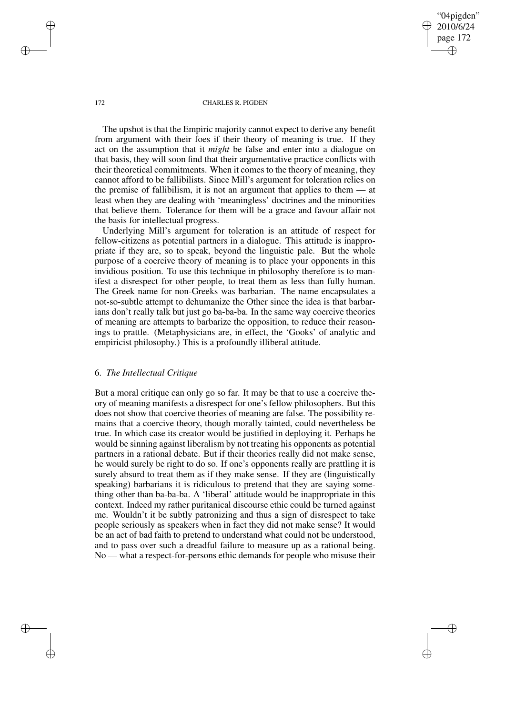"04pigden" 2010/6/24 page 172 ✐ ✐

✐

✐

#### 172 CHARLES R. PIGDEN

The upshot is that the Empiric majority cannot expect to derive any benefit from argument with their foes if their theory of meaning is true. If they act on the assumption that it *might* be false and enter into a dialogue on that basis, they will soon find that their argumentative practice conflicts with their theoretical commitments. When it comes to the theory of meaning, they cannot afford to be fallibilists. Since Mill's argument for toleration relies on the premise of fallibilism, it is not an argument that applies to them — at least when they are dealing with 'meaningless' doctrines and the minorities that believe them. Tolerance for them will be a grace and favour affair not the basis for intellectual progress.

Underlying Mill's argument for toleration is an attitude of respect for fellow-citizens as potential partners in a dialogue. This attitude is inappropriate if they are, so to speak, beyond the linguistic pale. But the whole purpose of a coercive theory of meaning is to place your opponents in this invidious position. To use this technique in philosophy therefore is to manifest a disrespect for other people, to treat them as less than fully human. The Greek name for non-Greeks was barbarian. The name encapsulates a not-so-subtle attempt to dehumanize the Other since the idea is that barbarians don't really talk but just go ba-ba-ba. In the same way coercive theories of meaning are attempts to barbarize the opposition, to reduce their reasonings to prattle. (Metaphysicians are, in effect, the 'Gooks' of analytic and empiricist philosophy.) This is a profoundly illiberal attitude.

## 6. *The Intellectual Critique*

But a moral critique can only go so far. It may be that to use a coercive theory of meaning manifests a disrespect for one's fellow philosophers. But this does not show that coercive theories of meaning are false. The possibility remains that a coercive theory, though morally tainted, could nevertheless be true. In which case its creator would be justified in deploying it. Perhaps he would be sinning against liberalism by not treating his opponents as potential partners in a rational debate. But if their theories really did not make sense, he would surely be right to do so. If one's opponents really are prattling it is surely absurd to treat them as if they make sense. If they are (linguistically speaking) barbarians it is ridiculous to pretend that they are saying something other than ba-ba-ba. A 'liberal' attitude would be inappropriate in this context. Indeed my rather puritanical discourse ethic could be turned against me. Wouldn't it be subtly patronizing and thus a sign of disrespect to take people seriously as speakers when in fact they did not make sense? It would be an act of bad faith to pretend to understand what could not be understood, and to pass over such a dreadful failure to measure up as a rational being. No — what a respect-for-persons ethic demands for people who misuse their

✐

✐

✐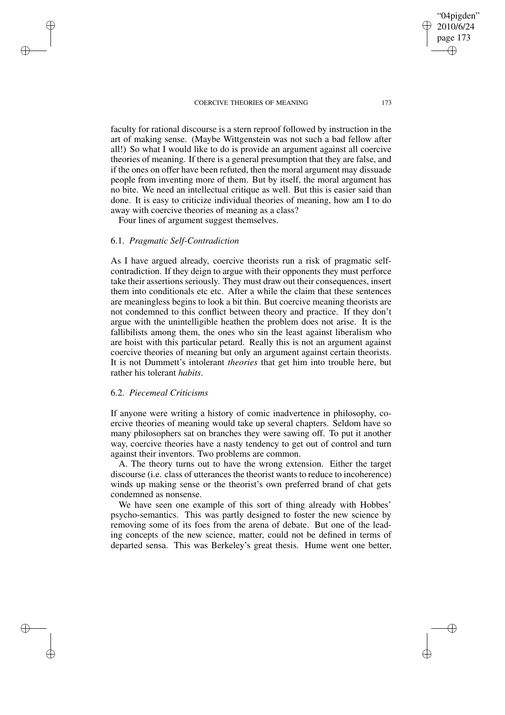"04pigden" 2010/6/24 page 173 ✐ ✐

✐

✐

faculty for rational discourse is a stern reproof followed by instruction in the art of making sense. (Maybe Wittgenstein was not such a bad fellow after all!) So what I would like to do is provide an argument against all coercive theories of meaning. If there is a general presumption that they are false, and if the ones on offer have been refuted, then the moral argument may dissuade people from inventing more of them. But by itself, the moral argument has no bite. We need an intellectual critique as well. But this is easier said than done. It is easy to criticize individual theories of meaning, how am I to do away with coercive theories of meaning as a class?

Four lines of argument suggest themselves.

# 6.1. *Pragmatic Self-Contradiction*

✐

✐

✐

✐

As I have argued already, coercive theorists run a risk of pragmatic selfcontradiction. If they deign to argue with their opponents they must perforce take their assertions seriously. They must draw out their consequences, insert them into conditionals etc etc. After a while the claim that these sentences are meaningless begins to look a bit thin. But coercive meaning theorists are not condemned to this conflict between theory and practice. If they don't argue with the unintelligible heathen the problem does not arise. It is the fallibilists among them, the ones who sin the least against liberalism who are hoist with this particular petard. Really this is not an argument against coercive theories of meaning but only an argument against certain theorists. It is not Dummett's intolerant *theories* that get him into trouble here, but rather his tolerant *habits*.

## 6.2. *Piecemeal Criticisms*

If anyone were writing a history of comic inadvertence in philosophy, coercive theories of meaning would take up several chapters. Seldom have so many philosophers sat on branches they were sawing off. To put it another way, coercive theories have a nasty tendency to get out of control and turn against their inventors. Two problems are common.

A. The theory turns out to have the wrong extension. Either the target discourse (i.e. class of utterances the theorist wants to reduce to incoherence) winds up making sense or the theorist's own preferred brand of chat gets condemned as nonsense.

We have seen one example of this sort of thing already with Hobbes' psycho-semantics. This was partly designed to foster the new science by removing some of its foes from the arena of debate. But one of the leading concepts of the new science, matter, could not be defined in terms of departed sensa. This was Berkeley's great thesis. Hume went one better,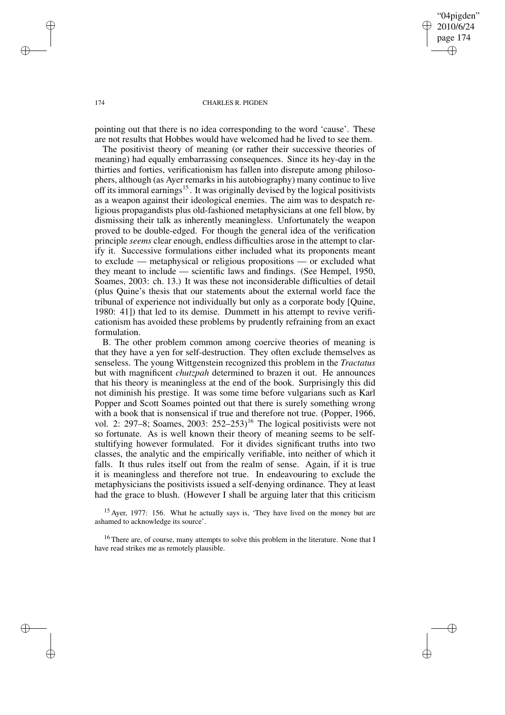✐

✐

### 174 CHARLES R. PIGDEN

pointing out that there is no idea corresponding to the word 'cause'. These are not results that Hobbes would have welcomed had he lived to see them.

The positivist theory of meaning (or rather their successive theories of meaning) had equally embarrassing consequences. Since its hey-day in the thirties and forties, verificationism has fallen into disrepute among philosophers, although (as Ayer remarks in his autobiography) many continue to live off its immoral earnings<sup>15</sup>. It was originally devised by the logical positivists as a weapon against their ideological enemies. The aim was to despatch religious propagandists plus old-fashioned metaphysicians at one fell blow, by dismissing their talk as inherently meaningless. Unfortunately the weapon proved to be double-edged. For though the general idea of the verification principle *seems* clear enough, endless difficulties arose in the attempt to clarify it. Successive formulations either included what its proponents meant to exclude — metaphysical or religious propositions — or excluded what they meant to include — scientific laws and findings. (See Hempel, 1950, Soames, 2003: ch. 13.) It was these not inconsiderable difficulties of detail (plus Quine's thesis that our statements about the external world face the tribunal of experience not individually but only as a corporate body [Quine, 1980: 41]) that led to its demise. Dummett in his attempt to revive verificationism has avoided these problems by prudently refraining from an exact formulation.

B. The other problem common among coercive theories of meaning is that they have a yen for self-destruction. They often exclude themselves as senseless. The young Wittgenstein recognized this problem in the *Tractatus* but with magnificent *chutzpah* determined to brazen it out. He announces that his theory is meaningless at the end of the book. Surprisingly this did not diminish his prestige. It was some time before vulgarians such as Karl Popper and Scott Soames pointed out that there is surely something wrong with a book that is nonsensical if true and therefore not true. (Popper, 1966, vol. 2: 297–8; Soames, 2003:  $252-253$ <sup>16</sup> The logical positivists were not so fortunate. As is well known their theory of meaning seems to be selfstultifying however formulated. For it divides significant truths into two classes, the analytic and the empirically verifiable, into neither of which it falls. It thus rules itself out from the realm of sense. Again, if it is true it is meaningless and therefore not true. In endeavouring to exclude the metaphysicians the positivists issued a self-denying ordinance. They at least had the grace to blush. (However I shall be arguing later that this criticism

<sup>15</sup> Ayer, 1977: 156. What he actually says is, 'They have lived on the money but are ashamed to acknowledge its source'.

<sup>16</sup> There are, of course, many attempts to solve this problem in the literature. None that I have read strikes me as remotely plausible.

✐

✐

✐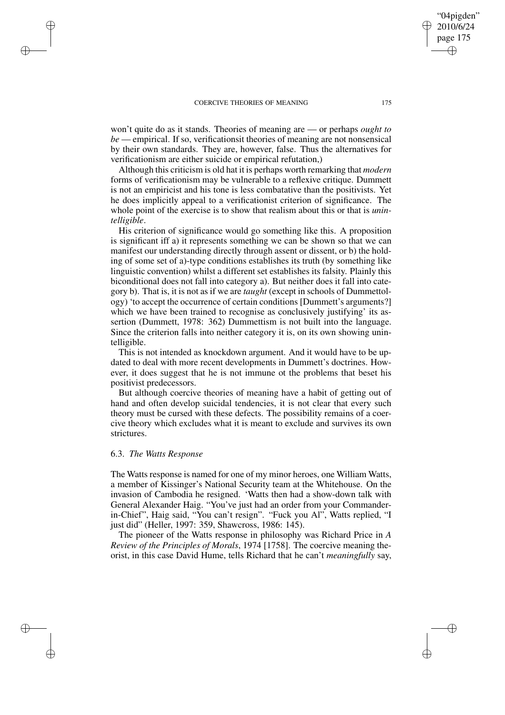won't quite do as it stands. Theories of meaning are — or perhaps *ought to be* — empirical. If so, verificationsit theories of meaning are not nonsensical by their own standards. They are, however, false. Thus the alternatives for verificationism are either suicide or empirical refutation,)

Although this criticism is old hat it is perhaps worth remarking that *modern* forms of verificationism may be vulnerable to a reflexive critique. Dummett is not an empiricist and his tone is less combatative than the positivists. Yet he does implicitly appeal to a verificationist criterion of significance. The whole point of the exercise is to show that realism about this or that is *unintelligible*.

His criterion of significance would go something like this. A proposition is significant iff a) it represents something we can be shown so that we can manifest our understanding directly through assent or dissent, or b) the holding of some set of a)-type conditions establishes its truth (by something like linguistic convention) whilst a different set establishes its falsity. Plainly this biconditional does not fall into category a). But neither does it fall into category b). That is, it is not as if we are *taught* (except in schools of Dummettology) 'to accept the occurrence of certain conditions [Dummett's arguments?] which we have been trained to recognise as conclusively justifying' its assertion (Dummett, 1978: 362) Dummettism is not built into the language. Since the criterion falls into neither category it is, on its own showing unintelligible.

This is not intended as knockdown argument. And it would have to be updated to deal with more recent developments in Dummett's doctrines. However, it does suggest that he is not immune ot the problems that beset his positivist predecessors.

But although coercive theories of meaning have a habit of getting out of hand and often develop suicidal tendencies, it is not clear that every such theory must be cursed with these defects. The possibility remains of a coercive theory which excludes what it is meant to exclude and survives its own strictures.

## 6.3. *The Watts Response*

✐

✐

✐

✐

The Watts response is named for one of my minor heroes, one William Watts, a member of Kissinger's National Security team at the Whitehouse. On the invasion of Cambodia he resigned. 'Watts then had a show-down talk with General Alexander Haig. "You've just had an order from your Commanderin-Chief", Haig said, "You can't resign". "Fuck you Al", Watts replied, "I just did" (Heller, 1997: 359, Shawcross, 1986: 145).

The pioneer of the Watts response in philosophy was Richard Price in *A Review of the Principles of Morals*, 1974 [1758]. The coercive meaning theorist, in this case David Hume, tells Richard that he can't *meaningfully* say,

"04pigden" 2010/6/24 page 175

✐

✐

✐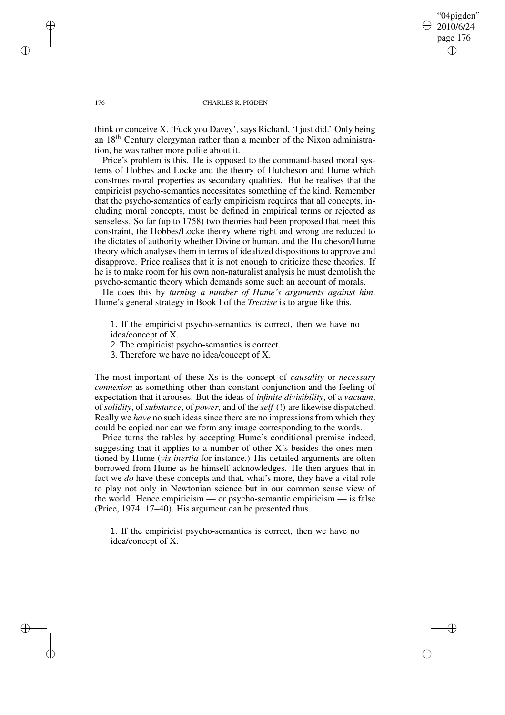"04pigden" 2010/6/24 page 176 ✐ ✐

✐

✐

#### 176 CHARLES R. PIGDEN

think or conceive X. 'Fuck you Davey', says Richard, 'I just did.' Only being an 18th Century clergyman rather than a member of the Nixon administration, he was rather more polite about it.

Price's problem is this. He is opposed to the command-based moral systems of Hobbes and Locke and the theory of Hutcheson and Hume which construes moral properties as secondary qualities. But he realises that the empiricist psycho-semantics necessitates something of the kind. Remember that the psycho-semantics of early empiricism requires that all concepts, including moral concepts, must be defined in empirical terms or rejected as senseless. So far (up to 1758) two theories had been proposed that meet this constraint, the Hobbes/Locke theory where right and wrong are reduced to the dictates of authority whether Divine or human, and the Hutcheson/Hume theory which analyses them in terms of idealized dispositions to approve and disapprove. Price realises that it is not enough to criticize these theories. If he is to make room for his own non-naturalist analysis he must demolish the psycho-semantic theory which demands some such an account of morals.

He does this by *turning a number of Hume's arguments against him*. Hume's general strategy in Book I of the *Treatise* is to argue like this.

1. If the empiricist psycho-semantics is correct, then we have no idea/concept of X.

2. The empiricist psycho-semantics is correct.

3. Therefore we have no idea/concept of X.

The most important of these Xs is the concept of *causality* or *necessary connexion* as something other than constant conjunction and the feeling of expectation that it arouses. But the ideas of *infinite divisibility*, of a *vacuum*, of*solidity*, of*substance*, of *power*, and of the *self* (!) are likewise dispatched. Really we *have* no such ideas since there are no impressions from which they could be copied nor can we form any image corresponding to the words.

Price turns the tables by accepting Hume's conditional premise indeed, suggesting that it applies to a number of other  $X$ 's besides the ones mentioned by Hume (*vis inertia* for instance.) His detailed arguments are often borrowed from Hume as he himself acknowledges. He then argues that in fact we *do* have these concepts and that, what's more, they have a vital role to play not only in Newtonian science but in our common sense view of the world. Hence empiricism — or psycho-semantic empiricism — is false (Price, 1974: 17–40). His argument can be presented thus.

1. If the empiricist psycho-semantics is correct, then we have no idea/concept of X.

✐

✐

✐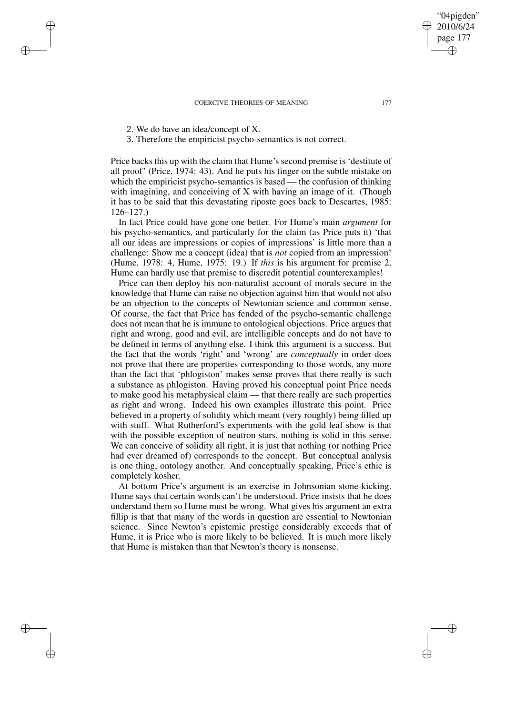2. We do have an idea/concept of X.

✐

✐

✐

✐

3. Therefore the empiricist psycho-semantics is not correct.

Price backs this up with the claim that Hume's second premise is 'destitute of all proof' (Price, 1974: 43). And he puts his finger on the subtle mistake on which the empiricist psycho-semantics is based — the confusion of thinking with imagining, and conceiving of X with having an image of it. (Though it has to be said that this devastating riposte goes back to Descartes, 1985: 126–127.)

In fact Price could have gone one better. For Hume's main *argument* for his psycho-semantics, and particularly for the claim (as Price puts it) 'that all our ideas are impressions or copies of impressions' is little more than a challenge: Show me a concept (idea) that is *not* copied from an impression! (Hume, 1978: 4, Hume, 1975: 19.) If *this* is his argument for premise 2, Hume can hardly use that premise to discredit potential counterexamples!

Price can then deploy his non-naturalist account of morals secure in the knowledge that Hume can raise no objection against him that would not also be an objection to the concepts of Newtonian science and common sense. Of course, the fact that Price has fended of the psycho-semantic challenge does not mean that he is immune to ontological objections. Price argues that right and wrong, good and evil, are intelligible concepts and do not have to be defined in terms of anything else. I think this argument is a success. But the fact that the words 'right' and 'wrong' are *conceptually* in order does not prove that there are properties corresponding to those words, any more than the fact that 'phlogiston' makes sense proves that there really is such a substance as phlogiston. Having proved his conceptual point Price needs to make good his metaphysical claim — that there really are such properties as right and wrong. Indeed his own examples illustrate this point. Price believed in a property of solidity which meant (very roughly) being filled up with stuff. What Rutherford's experiments with the gold leaf show is that with the possible exception of neutron stars, nothing is solid in this sense. We can conceive of solidity all right, it is just that nothing (or nothing Price had ever dreamed of) corresponds to the concept. But conceptual analysis is one thing, ontology another. And conceptually speaking, Price's ethic is completely kosher.

At bottom Price's argument is an exercise in Johnsonian stone-kicking. Hume says that certain words can't be understood. Price insists that he does understand them so Hume must be wrong. What gives his argument an extra fillip is that that many of the words in question are essential to Newtonian science. Since Newton's epistemic prestige considerably exceeds that of Hume, it is Price who is more likely to be believed. It is much more likely that Hume is mistaken than that Newton's theory is nonsense.

"04pigden" 2010/6/24 page 177

✐

✐

✐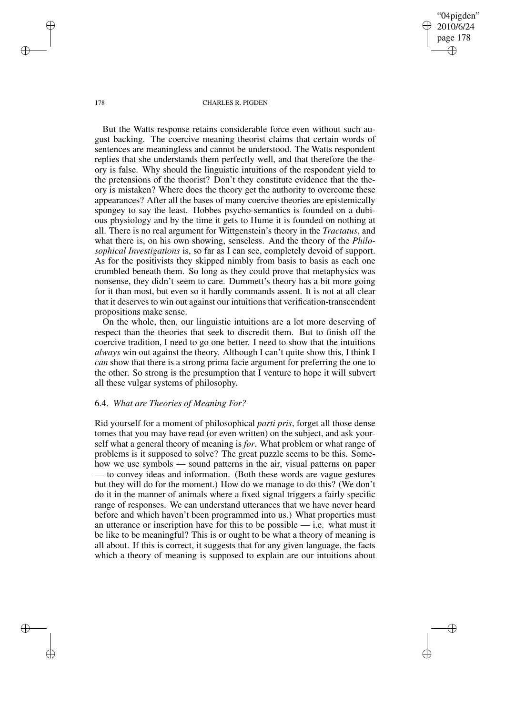"04pigden" 2010/6/24 page 178 ✐ ✐

✐

✐

#### 178 CHARLES R. PIGDEN

But the Watts response retains considerable force even without such august backing. The coercive meaning theorist claims that certain words of sentences are meaningless and cannot be understood. The Watts respondent replies that she understands them perfectly well, and that therefore the theory is false. Why should the linguistic intuitions of the respondent yield to the pretensions of the theorist? Don't they constitute evidence that the theory is mistaken? Where does the theory get the authority to overcome these appearances? After all the bases of many coercive theories are epistemically spongey to say the least. Hobbes psycho-semantics is founded on a dubious physiology and by the time it gets to Hume it is founded on nothing at all. There is no real argument for Wittgenstein's theory in the *Tractatus*, and what there is, on his own showing, senseless. And the theory of the *Philosophical Investigations* is, so far as I can see, completely devoid of support. As for the positivists they skipped nimbly from basis to basis as each one crumbled beneath them. So long as they could prove that metaphysics was nonsense, they didn't seem to care. Dummett's theory has a bit more going for it than most, but even so it hardly commands assent. It is not at all clear that it deserves to win out against our intuitions that verification-transcendent propositions make sense.

On the whole, then, our linguistic intuitions are a lot more deserving of respect than the theories that seek to discredit them. But to finish off the coercive tradition, I need to go one better. I need to show that the intuitions *always* win out against the theory. Although I can't quite show this, I think I *can* show that there is a strong prima facie argument for preferring the one to the other. So strong is the presumption that I venture to hope it will subvert all these vulgar systems of philosophy.

# 6.4. *What are Theories of Meaning For?*

Rid yourself for a moment of philosophical *parti pris*, forget all those dense tomes that you may have read (or even written) on the subject, and ask yourself what a general theory of meaning is *for*. What problem or what range of problems is it supposed to solve? The great puzzle seems to be this. Somehow we use symbols — sound patterns in the air, visual patterns on paper — to convey ideas and information. (Both these words are vague gestures but they will do for the moment.) How do we manage to do this? (We don't do it in the manner of animals where a fixed signal triggers a fairly specific range of responses. We can understand utterances that we have never heard before and which haven't been programmed into us.) What properties must an utterance or inscription have for this to be possible — i.e. what must it be like to be meaningful? This is or ought to be what a theory of meaning is all about. If this is correct, it suggests that for any given language, the facts which a theory of meaning is supposed to explain are our intuitions about

 $\rightarrow$ 

 $\rightarrow$ 

✐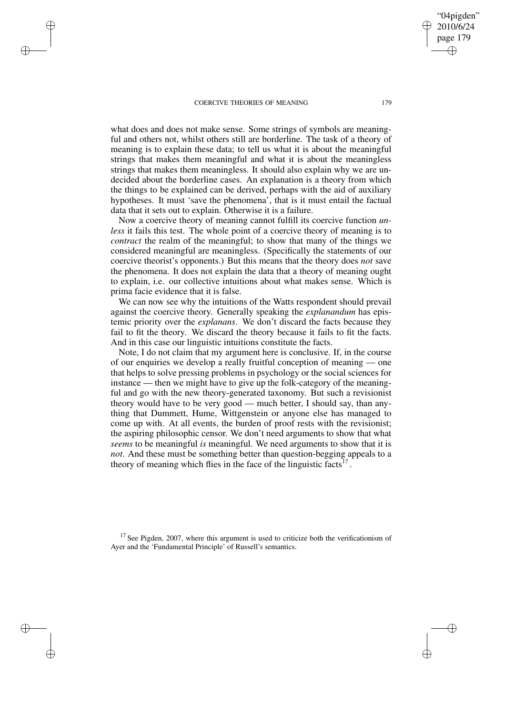$\rightarrow$ 

 $\rightarrow$ 

✐

✐

what does and does not make sense. Some strings of symbols are meaningful and others not, whilst others still are borderline. The task of a theory of meaning is to explain these data; to tell us what it is about the meaningful strings that makes them meaningful and what it is about the meaningless strings that makes them meaningless. It should also explain why we are undecided about the borderline cases. An explanation is a theory from which the things to be explained can be derived, perhaps with the aid of auxiliary hypotheses. It must 'save the phenomena', that is it must entail the factual data that it sets out to explain. Otherwise it is a failure.

Now a coercive theory of meaning cannot fulfill its coercive function *unless* it fails this test. The whole point of a coercive theory of meaning is to *contract* the realm of the meaningful; to show that many of the things we considered meaningful are meaningless. (Specifically the statements of our coercive theorist's opponents.) But this means that the theory does *not* save the phenomena. It does not explain the data that a theory of meaning ought to explain, i.e. our collective intuitions about what makes sense. Which is prima facie evidence that it is false.

We can now see why the intuitions of the Watts respondent should prevail against the coercive theory. Generally speaking the *explanandum* has epistemic priority over the *explanans*. We don't discard the facts because they fail to fit the theory. We discard the theory because it fails to fit the facts. And in this case our linguistic intuitions constitute the facts.

Note, I do not claim that my argument here is conclusive. If, in the course of our enquiries we develop a really fruitful conception of meaning — one that helps to solve pressing problems in psychology or the social sciences for instance — then we might have to give up the folk-category of the meaningful and go with the new theory-generated taxonomy. But such a revisionist theory would have to be very good — much better, I should say, than anything that Dummett, Hume, Wittgenstein or anyone else has managed to come up with. At all events, the burden of proof rests with the revisionist; the aspiring philosophic censor. We don't need arguments to show that what *seems* to be meaningful *is* meaningful. We need arguments to show that it is *not*. And these must be something better than question-begging appeals to a theory of meaning which flies in the face of the linguistic facts $17$ .

 $17$  See Pigden, 2007, where this argument is used to criticize both the verificationism of Ayer and the 'Fundamental Principle' of Russell's semantics.

"04pigden" 2010/6/24 page 179

✐

✐

✐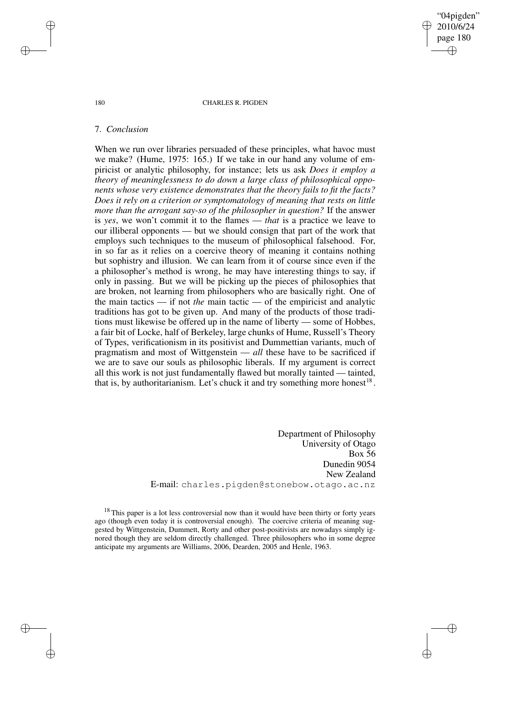"04pigden" 2010/6/24 page 180 ✐ ✐

✐

✐

#### 180 CHARLES R. PIGDEN

# 7. *Conclusion*

When we run over libraries persuaded of these principles, what havoc must we make? (Hume, 1975: 165.) If we take in our hand any volume of empiricist or analytic philosophy, for instance; lets us ask *Does it employ a theory of meaninglessness to do down a large class of philosophical opponents whose very existence demonstrates that the theory fails to fit the facts? Does it rely on a criterion or symptomatology of meaning that rests on little more than the arrogant say-so of the philosopher in question?* If the answer is *yes*, we won't commit it to the flames — *that* is a practice we leave to our illiberal opponents — but we should consign that part of the work that employs such techniques to the museum of philosophical falsehood. For, in so far as it relies on a coercive theory of meaning it contains nothing but sophistry and illusion. We can learn from it of course since even if the a philosopher's method is wrong, he may have interesting things to say, if only in passing. But we will be picking up the pieces of philosophies that are broken, not learning from philosophers who are basically right. One of the main tactics — if not *the* main tactic — of the empiricist and analytic traditions has got to be given up. And many of the products of those traditions must likewise be offered up in the name of liberty — some of Hobbes, a fair bit of Locke, half of Berkeley, large chunks of Hume, Russell's Theory of Types, verificationism in its positivist and Dummettian variants, much of pragmatism and most of Wittgenstein — *all* these have to be sacrificed if we are to save our souls as philosophic liberals. If my argument is correct all this work is not just fundamentally flawed but morally tainted — tainted, that is, by authoritarianism. Let's chuck it and try something more honest<sup>18</sup>.

> Department of Philosophy University of Otago Box 56 Dunedin 9054 New Zealand E-mail: charles.pigden@stonebow.otago.ac.nz

 $18$  This paper is a lot less controversial now than it would have been thirty or forty years ago (though even today it is controversial enough). The coercive criteria of meaning suggested by Wittgenstein, Dummett, Rorty and other post-positivists are nowadays simply ignored though they are seldom directly challenged. Three philosophers who in some degree anticipate my arguments are Williams, 2006, Dearden, 2005 and Henle, 1963.

 $\rightarrow$ 

 $\rightarrow$ 

✐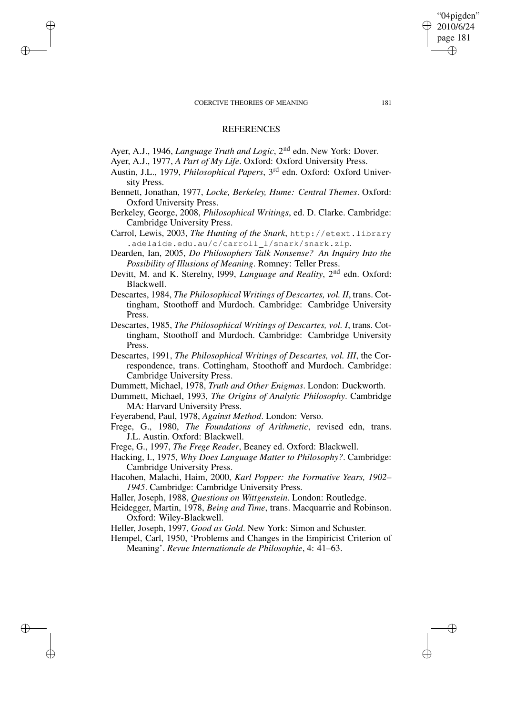$\rightarrow$ 

 $\rightarrow$ 

✐

✐

✐

✐

# **REFERENCES**

- Ayer, A.J., 1946, *Language Truth and Logic*, 2<sup>nd</sup> edn. New York: Dover.
- Ayer, A.J., 1977, *A Part of My Life*. Oxford: Oxford University Press.
- Austin, J.L., 1979, *Philosophical Papers*, 3 rd edn. Oxford: Oxford University Press.
- Bennett, Jonathan, 1977, *Locke, Berkeley, Hume: Central Themes*. Oxford: Oxford University Press.
- Berkeley, George, 2008, *Philosophical Writings*, ed. D. Clarke. Cambridge: Cambridge University Press.
- Carrol, Lewis, 2003, *The Hunting of the Snark*, http://etext.library .adelaide.edu.au/c/carroll\_l/snark/snark.zip.
- Dearden, Ian, 2005, *Do Philosophers Talk Nonsense? An Inquiry Into the Possibility of Illusions of Meaning*. Romney: Teller Press.
- Devitt, M. and K. Sterelny, 1999, *Language and Reality*, 2<sup>nd</sup> edn. Oxford: Blackwell.
- Descartes, 1984, *The Philosophical Writings of Descartes, vol. II*, trans. Cottingham, Stoothoff and Murdoch. Cambridge: Cambridge University Press.
- Descartes, 1985, *The Philosophical Writings of Descartes, vol. I*, trans. Cottingham, Stoothoff and Murdoch. Cambridge: Cambridge University Press.
- Descartes, 1991, *The Philosophical Writings of Descartes, vol. III*, the Correspondence, trans. Cottingham, Stoothoff and Murdoch. Cambridge: Cambridge University Press.
- Dummett, Michael, 1978, *Truth and Other Enigmas*. London: Duckworth.
- Dummett, Michael, 1993, *The Origins of Analytic Philosophy*. Cambridge MA: Harvard University Press.
- Feyerabend, Paul, 1978, *Against Method*. London: Verso.
- Frege, G., 1980, *The Foundations of Arithmetic*, revised edn, trans. J.L. Austin. Oxford: Blackwell.
- Frege, G., 1997, *The Frege Reader*, Beaney ed. Oxford: Blackwell.
- Hacking, I., 1975, *Why Does Language Matter to Philosophy?*. Cambridge: Cambridge University Press.
- Hacohen, Malachi, Haim, 2000, *Karl Popper: the Formative Years, 1902– 1945*. Cambridge: Cambridge University Press.
- Haller, Joseph, 1988, *Questions on Wittgenstein*. London: Routledge.
- Heidegger, Martin, 1978, *Being and Time*, trans. Macquarrie and Robinson. Oxford: Wiley-Blackwell.

Heller, Joseph, 1997, *Good as Gold*. New York: Simon and Schuster.

Hempel, Carl, 1950, 'Problems and Changes in the Empiricist Criterion of Meaning'. *Revue Internationale de Philosophie*, 4: 41–63.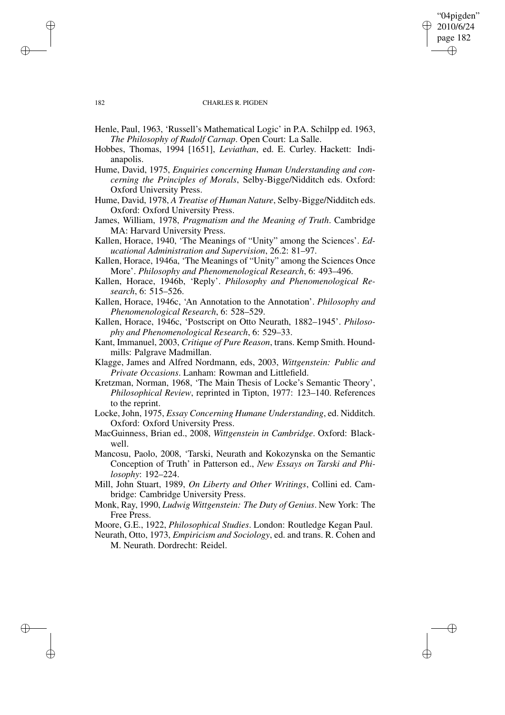## "04pigden" 2010/6/24 page 182 ✐ ✐

✐

✐

### 182 CHARLES R. PIGDEN

- Henle, Paul, 1963, 'Russell's Mathematical Logic' in P.A. Schilpp ed. 1963, *The Philosophy of Rudolf Carnap*. Open Court: La Salle.
- Hobbes, Thomas, 1994 [1651], *Leviathan*, ed. E. Curley. Hackett: Indianapolis.
- Hume, David, 1975, *Enquiries concerning Human Understanding and concerning the Principles of Morals*, Selby-Bigge/Nidditch eds. Oxford: Oxford University Press.
- Hume, David, 1978, *A Treatise of Human Nature*, Selby-Bigge/Nidditch eds. Oxford: Oxford University Press.
- James, William, 1978, *Pragmatism and the Meaning of Truth*. Cambridge MA: Harvard University Press.
- Kallen, Horace, 1940, 'The Meanings of "Unity" among the Sciences'. *Educational Administration and Supervision*, 26.2: 81–97.
- Kallen, Horace, 1946a, 'The Meanings of "Unity" among the Sciences Once More'. *Philosophy and Phenomenological Research*, 6: 493–496.
- Kallen, Horace, 1946b, 'Reply'. *Philosophy and Phenomenological Research*, 6: 515–526.
- Kallen, Horace, 1946c, 'An Annotation to the Annotation'. *Philosophy and Phenomenological Research*, 6: 528–529.
- Kallen, Horace, 1946c, 'Postscript on Otto Neurath, 1882–1945'. *Philosophy and Phenomenological Research*, 6: 529–33.
- Kant, Immanuel, 2003, *Critique of Pure Reason*, trans. Kemp Smith. Houndmills: Palgrave Madmillan.
- Klagge, James and Alfred Nordmann, eds, 2003, *Wittgenstein: Public and Private Occasions*. Lanham: Rowman and Littlefield.
- Kretzman, Norman, 1968, 'The Main Thesis of Locke's Semantic Theory', *Philosophical Review*, reprinted in Tipton, 1977: 123–140. References to the reprint.
- Locke, John, 1975, *Essay Concerning Humane Understanding*, ed. Nidditch. Oxford: Oxford University Press.
- MacGuinness, Brian ed., 2008, *Wittgenstein in Cambridge*. Oxford: Blackwell.
- Mancosu, Paolo, 2008, 'Tarski, Neurath and Kokozynska on the Semantic Conception of Truth' in Patterson ed., *New Essays on Tarski and Philosophy*: 192–224.
- Mill, John Stuart, 1989, *On Liberty and Other Writings*, Collini ed. Cambridge: Cambridge University Press.
- Monk, Ray, 1990, *Ludwig Wittgenstein: The Duty of Genius*. New York: The Free Press.

Moore, G.E., 1922, *Philosophical Studies*. London: Routledge Kegan Paul.

Neurath, Otto, 1973, *Empiricism and Sociology*, ed. and trans. R. Cohen and M. Neurath. Dordrecht: Reidel.

 $\rightarrow$ 

 $\rightarrow$ 

✐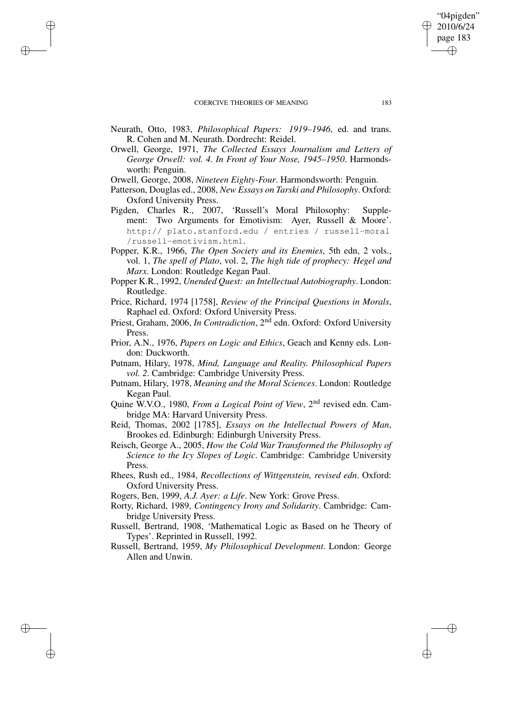$\rightarrow$ 

 $\rightarrow$ 

✐

✐

- Neurath, Otto, 1983, *Philosophical Papers: 1919–1946*, ed. and trans. R. Cohen and M. Neurath. Dordrecht: Reidel.
- Orwell, George, 1971, *The Collected Essays Journalism and Letters of George Orwell: vol. 4. In Front of Your Nose, 1945–1950*. Harmondsworth: Penguin.
- Orwell, George, 2008, *Nineteen Eighty-Four*. Harmondsworth: Penguin.
- Patterson, Douglas ed., 2008, *New Essays on Tarski and Philosophy*. Oxford: Oxford University Press.
- Pigden, Charles R., 2007, 'Russell's Moral Philosophy: Supplement: Two Arguments for Emotivism: Ayer, Russell & Moore'. http:// plato.stanford.edu / entries / russell-moral /russell-emotivism.html.
- Popper, K.R., 1966, *The Open Society and its Enemies*, 5th edn, 2 vols., vol. 1, *The spell of Plato*, vol. 2, *The high tide of prophecy: Hegel and Marx*. London: Routledge Kegan Paul.
- Popper K.R., 1992, *Unended Quest: an Intellectual Autobiography*. London: Routledge.
- Price, Richard, 1974 [1758], *Review of the Principal Questions in Morals*, Raphael ed. Oxford: Oxford University Press.
- Priest, Graham, 2006, *In Contradiction*, 2<sup>nd</sup> edn. Oxford: Oxford University Press.
- Prior, A.N., 1976, *Papers on Logic and Ethics*, Geach and Kenny eds. London: Duckworth.
- Putnam, Hilary, 1978, *Mind, Language and Reality. Philosophical Papers vol. 2*. Cambridge: Cambridge University Press.
- Putnam, Hilary, 1978, *Meaning and the Moral Sciences*. London: Routledge Kegan Paul.
- Quine W.V.O., 1980, *From a Logical Point of View*, 2 nd revised edn. Cambridge MA: Harvard University Press.
- Reid, Thomas, 2002 [1785], *Essays on the Intellectual Powers of Man*, Brookes ed. Edinburgh: Edinburgh University Press.
- Reisch, George A., 2005, *How the Cold War Transformed the Philosophy of Science to the Icy Slopes of Logic*. Cambridge: Cambridge University Press.
- Rhees, Rush ed., 1984, *Recollections of Wittgenstein, revised edn*. Oxford: Oxford University Press.
- Rogers, Ben, 1999, *A.J. Ayer: a Life*. New York: Grove Press.
- Rorty, Richard, 1989, *Contingency Irony and Solidarity*. Cambridge: Cambridge University Press.
- Russell, Bertrand, 1908, 'Mathematical Logic as Based on he Theory of Types'. Reprinted in Russell, 1992.
- Russell, Bertrand, 1959, *My Philosophical Development*. London: George Allen and Unwin.

"04pigden" 2010/6/24 page 183

✐

✐

✐